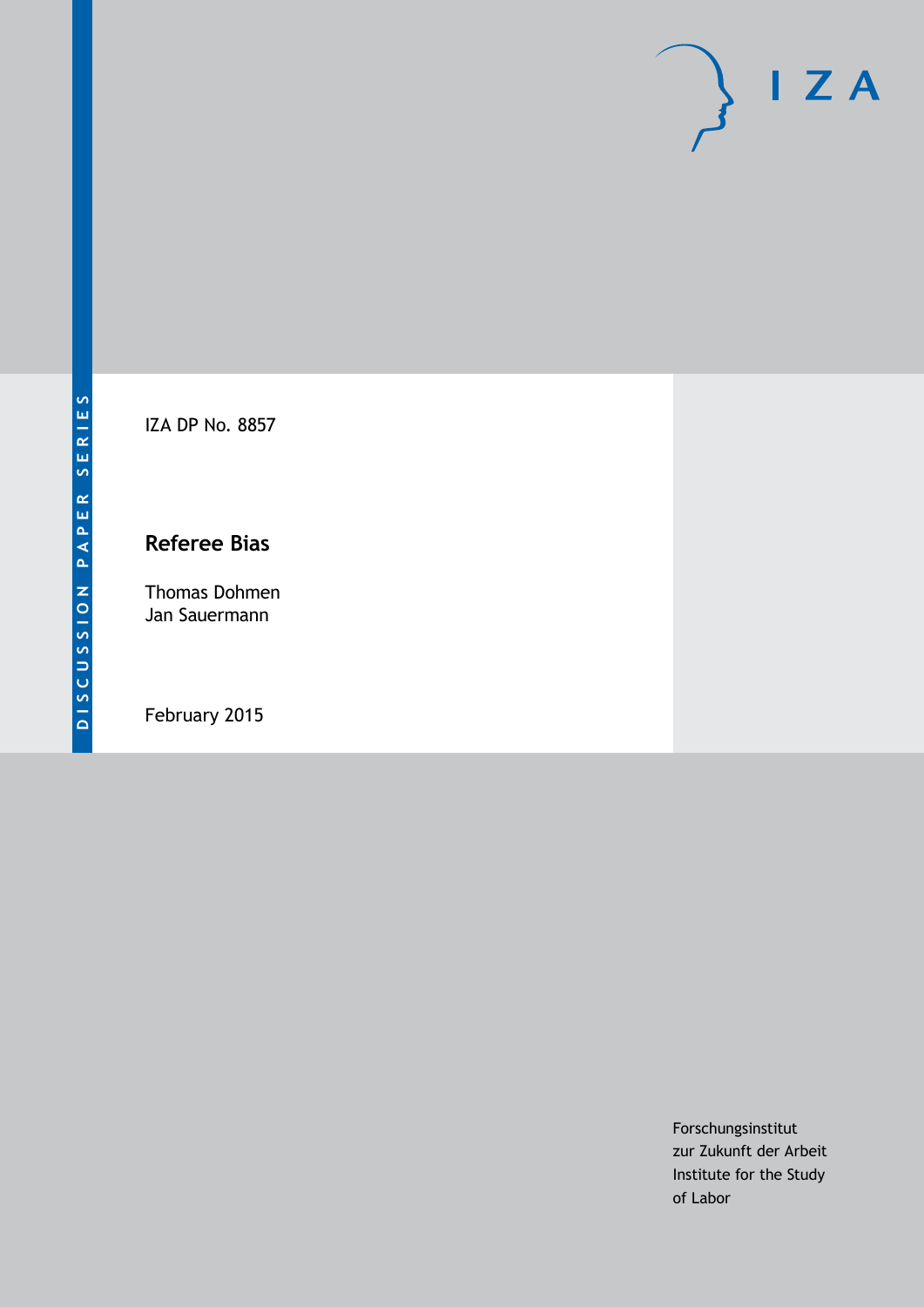

IZA DP No. 8857

## **Referee Bias**

Thomas Dohmen Jan Sauermann

February 2015

Forschungsinstitut zur Zukunft der Arbeit Institute for the Study of Labor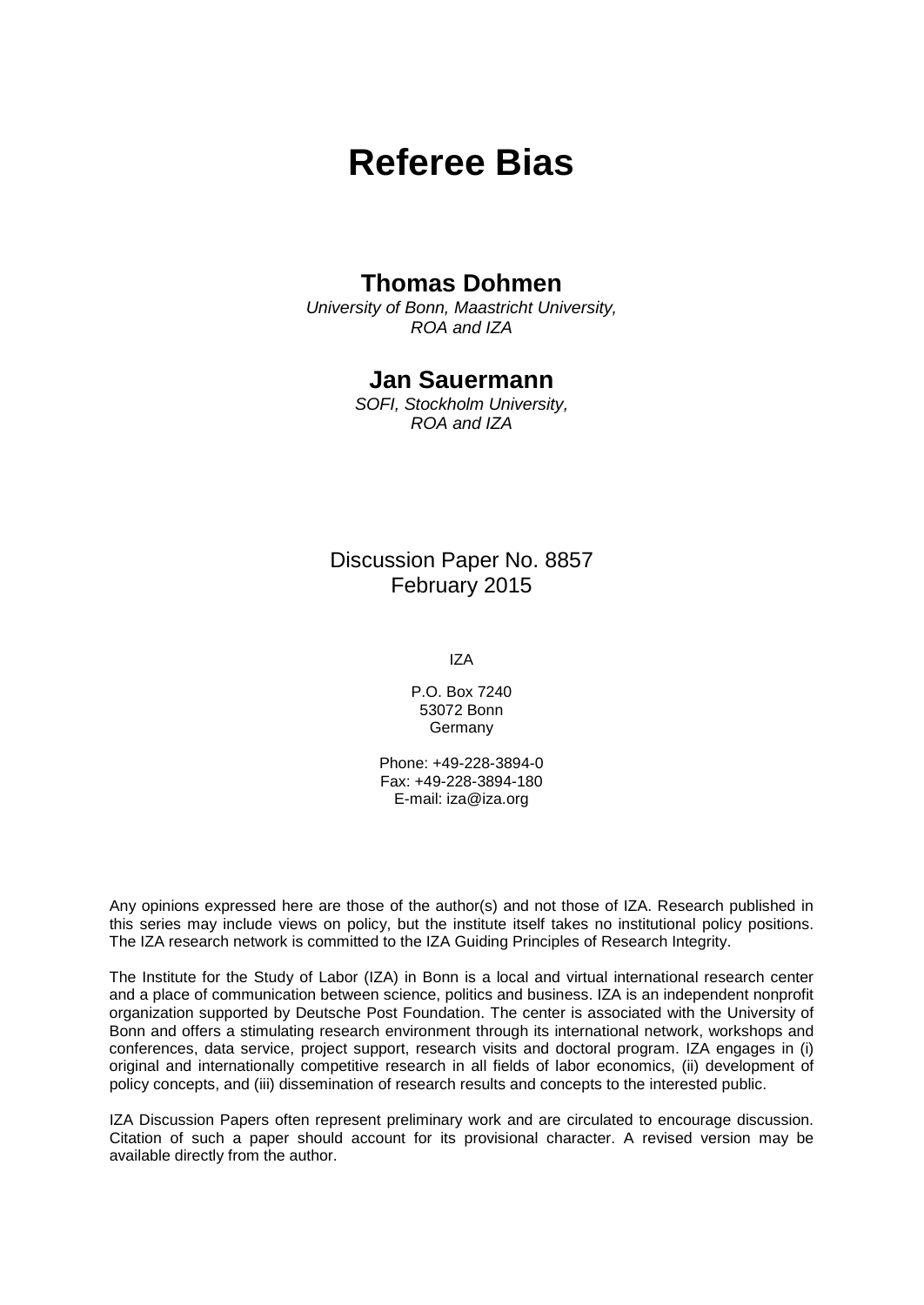# **Referee Bias**

### **Thomas Dohmen**

*University of Bonn, Maastricht University, ROA and IZA*

### **Jan Sauermann**

*SOFI, Stockholm University, ROA and IZA*

### Discussion Paper No. 8857 February 2015

IZA

P.O. Box 7240 53072 Bonn **Germany** 

Phone: +49-228-3894-0 Fax: +49-228-3894-180 E-mail: [iza@iza.org](mailto:iza@iza.org)

Any opinions expressed here are those of the author(s) and not those of IZA. Research published in this series may include views on policy, but the institute itself takes no institutional policy positions. The IZA research network is committed to the IZA Guiding Principles of Research Integrity.

The Institute for the Study of Labor (IZA) in Bonn is a local and virtual international research center and a place of communication between science, politics and business. IZA is an independent nonprofit organization supported by Deutsche Post Foundation. The center is associated with the University of Bonn and offers a stimulating research environment through its international network, workshops and conferences, data service, project support, research visits and doctoral program. IZA engages in (i) original and internationally competitive research in all fields of labor economics, (ii) development of policy concepts, and (iii) dissemination of research results and concepts to the interested public.

<span id="page-1-0"></span>IZA Discussion Papers often represent preliminary work and are circulated to encourage discussion. Citation of such a paper should account for its provisional character. A revised version may be available directly from the author.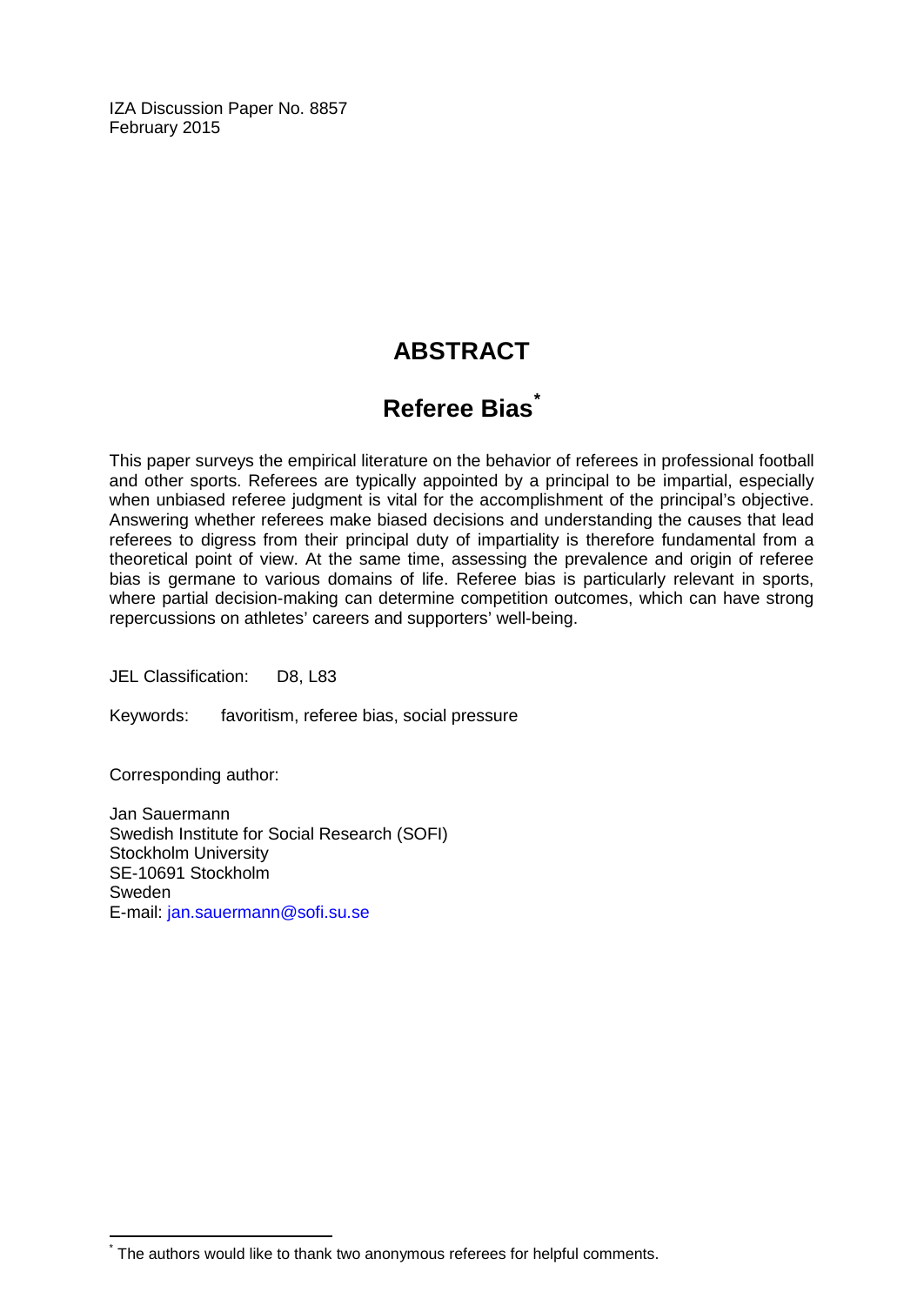IZA Discussion Paper No. 8857 February 2015

## **ABSTRACT**

## **Referee Bias[\\*](#page-1-0)**

This paper surveys the empirical literature on the behavior of referees in professional football and other sports. Referees are typically appointed by a principal to be impartial, especially when unbiased referee judgment is vital for the accomplishment of the principal's objective. Answering whether referees make biased decisions and understanding the causes that lead referees to digress from their principal duty of impartiality is therefore fundamental from a theoretical point of view. At the same time, assessing the prevalence and origin of referee bias is germane to various domains of life. Referee bias is particularly relevant in sports, where partial decision-making can determine competition outcomes, which can have strong repercussions on athletes' careers and supporters' well-being.

JEL Classification: D8, L83

Keywords: favoritism, referee bias, social pressure

Corresponding author:

Jan Sauermann Swedish Institute for Social Research (SOFI) Stockholm University SE-10691 Stockholm Sweden E-mail: [jan.sauermann@sofi.su.se](mailto:jan.sauermann@sofi.su.se)

The authors would like to thank two anonymous referees for helpful comments.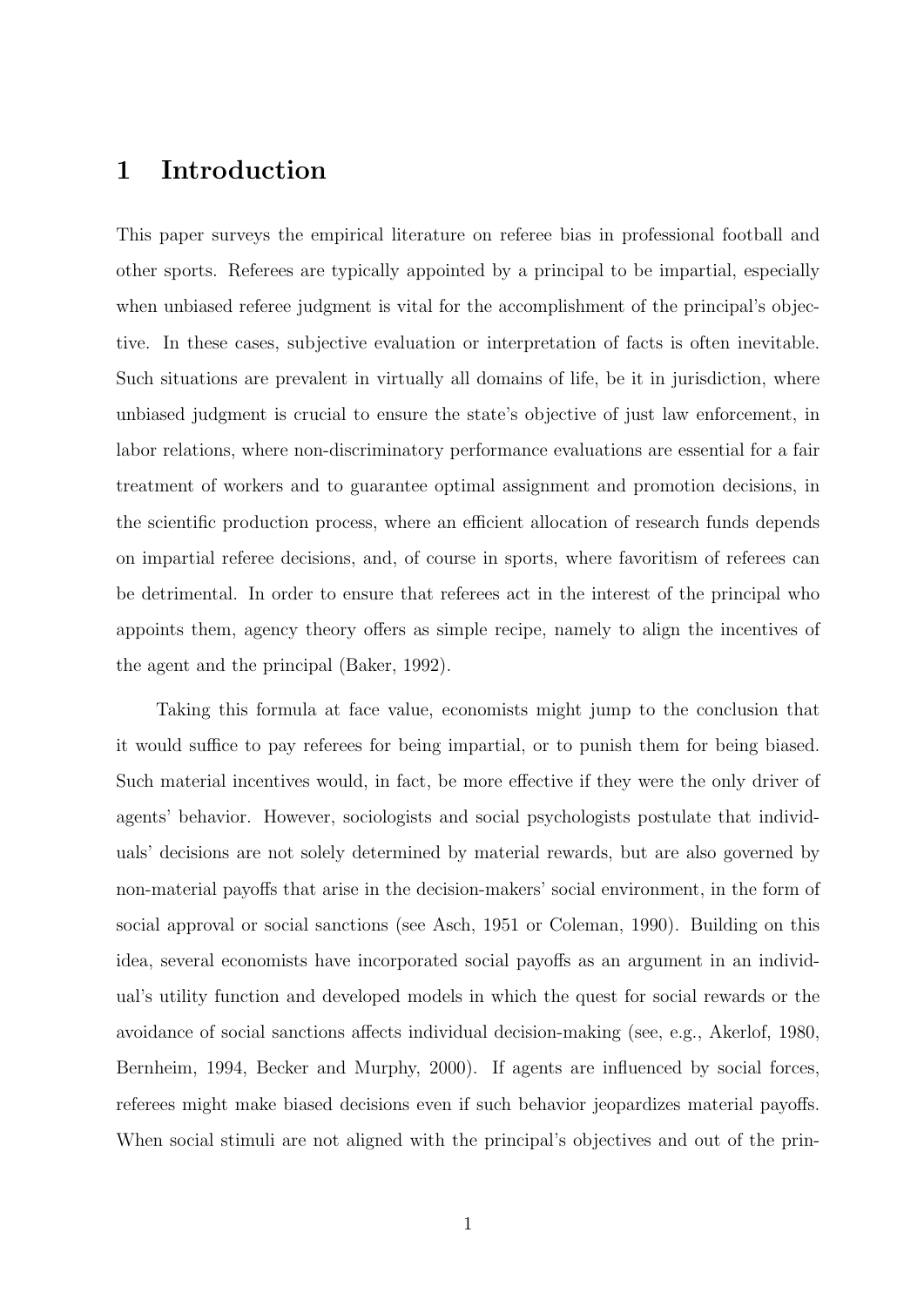### 1 Introduction

This paper surveys the empirical literature on referee bias in professional football and other sports. Referees are typically appointed by a principal to be impartial, especially when unbiased referee judgment is vital for the accomplishment of the principal's objective. In these cases, subjective evaluation or interpretation of facts is often inevitable. Such situations are prevalent in virtually all domains of life, be it in jurisdiction, where unbiased judgment is crucial to ensure the state's objective of just law enforcement, in labor relations, where non-discriminatory performance evaluations are essential for a fair treatment of workers and to guarantee optimal assignment and promotion decisions, in the scientific production process, where an efficient allocation of research funds depends on impartial referee decisions, and, of course in sports, where favoritism of referees can be detrimental. In order to ensure that referees act in the interest of the principal who appoints them, agency theory offers as simple recipe, namely to align the incentives of the agent and the principal (Baker, 1992).

Taking this formula at face value, economists might jump to the conclusion that it would suffice to pay referees for being impartial, or to punish them for being biased. Such material incentives would, in fact, be more effective if they were the only driver of agents' behavior. However, sociologists and social psychologists postulate that individuals' decisions are not solely determined by material rewards, but are also governed by non-material payoffs that arise in the decision-makers' social environment, in the form of social approval or social sanctions (see Asch, 1951 or Coleman, 1990). Building on this idea, several economists have incorporated social payoffs as an argument in an individual's utility function and developed models in which the quest for social rewards or the avoidance of social sanctions affects individual decision-making (see, e.g., Akerlof, 1980, Bernheim, 1994, Becker and Murphy, 2000). If agents are influenced by social forces, referees might make biased decisions even if such behavior jeopardizes material payoffs. When social stimuli are not aligned with the principal's objectives and out of the prin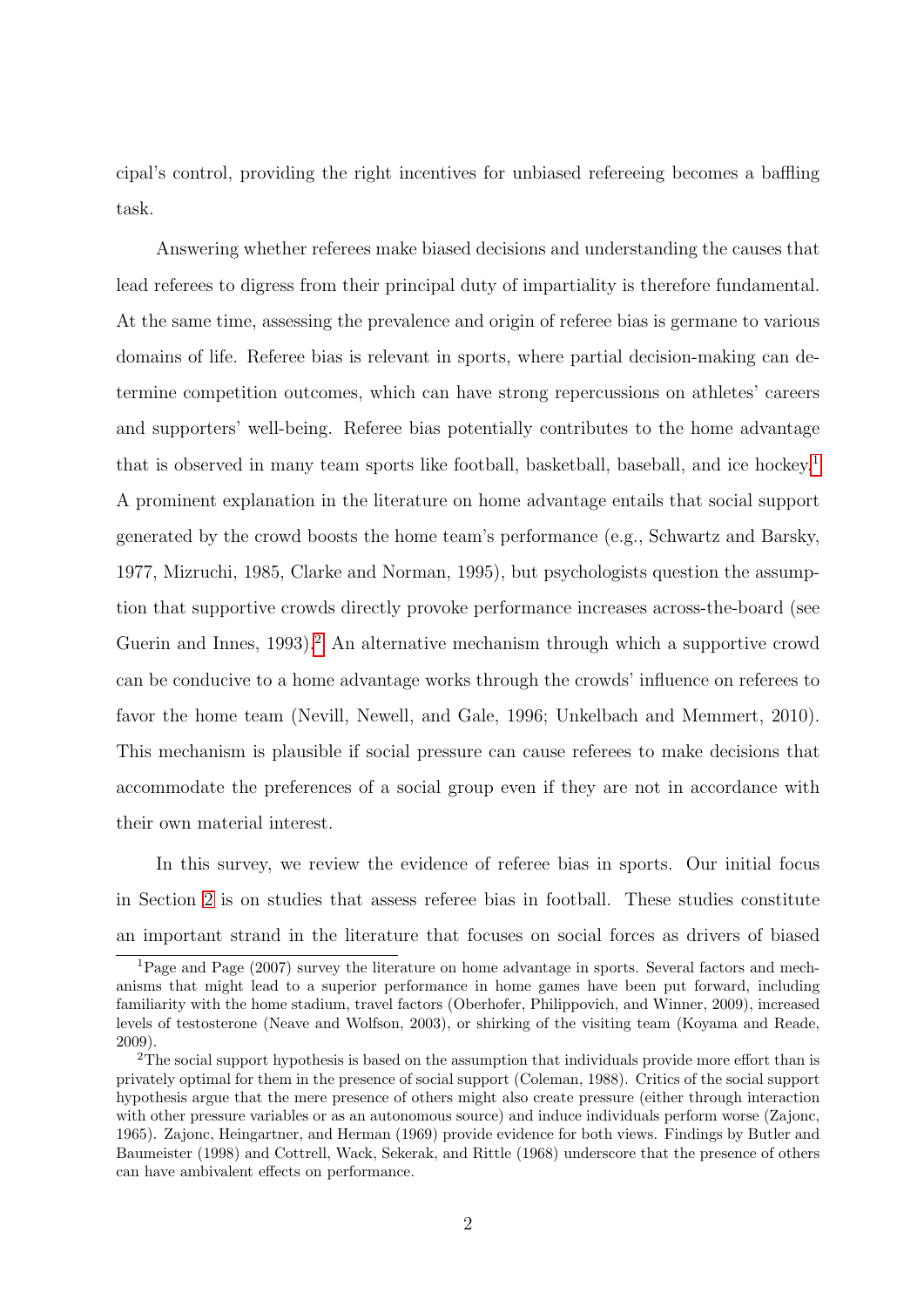cipal's control, providing the right incentives for unbiased refereeing becomes a baffling task.

Answering whether referees make biased decisions and understanding the causes that lead referees to digress from their principal duty of impartiality is therefore fundamental. At the same time, assessing the prevalence and origin of referee bias is germane to various domains of life. Referee bias is relevant in sports, where partial decision-making can determine competition outcomes, which can have strong repercussions on athletes' careers and supporters' well-being. Referee bias potentially contributes to the home advantage that is observed in many team sports like football, basketball, baseball, and ice hockey.[1](#page--1-0) A prominent explanation in the literature on home advantage entails that social support generated by the crowd boosts the home team's performance (e.g., Schwartz and Barsky, 1977, Mizruchi, 1985, Clarke and Norman, 1995), but psychologists question the assumption that supportive crowds directly provoke performance increases across-the-board (see Guerin and Innes,  $1993$ <sup>[2](#page--1-0)</sup>. An alternative mechanism through which a supportive crowd can be conducive to a home advantage works through the crowds' influence on referees to favor the home team (Nevill, Newell, and Gale, 1996; Unkelbach and Memmert, 2010). This mechanism is plausible if social pressure can cause referees to make decisions that accommodate the preferences of a social group even if they are not in accordance with their own material interest.

In this survey, we review the evidence of referee bias in sports. Our initial focus in Section [2](#page-6-0) is on studies that assess referee bias in football. These studies constitute an important strand in the literature that focuses on social forces as drivers of biased

<sup>1</sup>Page and Page (2007) survey the literature on home advantage in sports. Several factors and mechanisms that might lead to a superior performance in home games have been put forward, including familiarity with the home stadium, travel factors (Oberhofer, Philippovich, and Winner, 2009), increased levels of testosterone (Neave and Wolfson, 2003), or shirking of the visiting team (Koyama and Reade, 2009).

<sup>&</sup>lt;sup>2</sup>The social support hypothesis is based on the assumption that individuals provide more effort than is privately optimal for them in the presence of social support (Coleman, 1988). Critics of the social support hypothesis argue that the mere presence of others might also create pressure (either through interaction with other pressure variables or as an autonomous source) and induce individuals perform worse (Zajonc, 1965). Zajonc, Heingartner, and Herman (1969) provide evidence for both views. Findings by Butler and Baumeister (1998) and Cottrell, Wack, Sekerak, and Rittle (1968) underscore that the presence of others can have ambivalent effects on performance.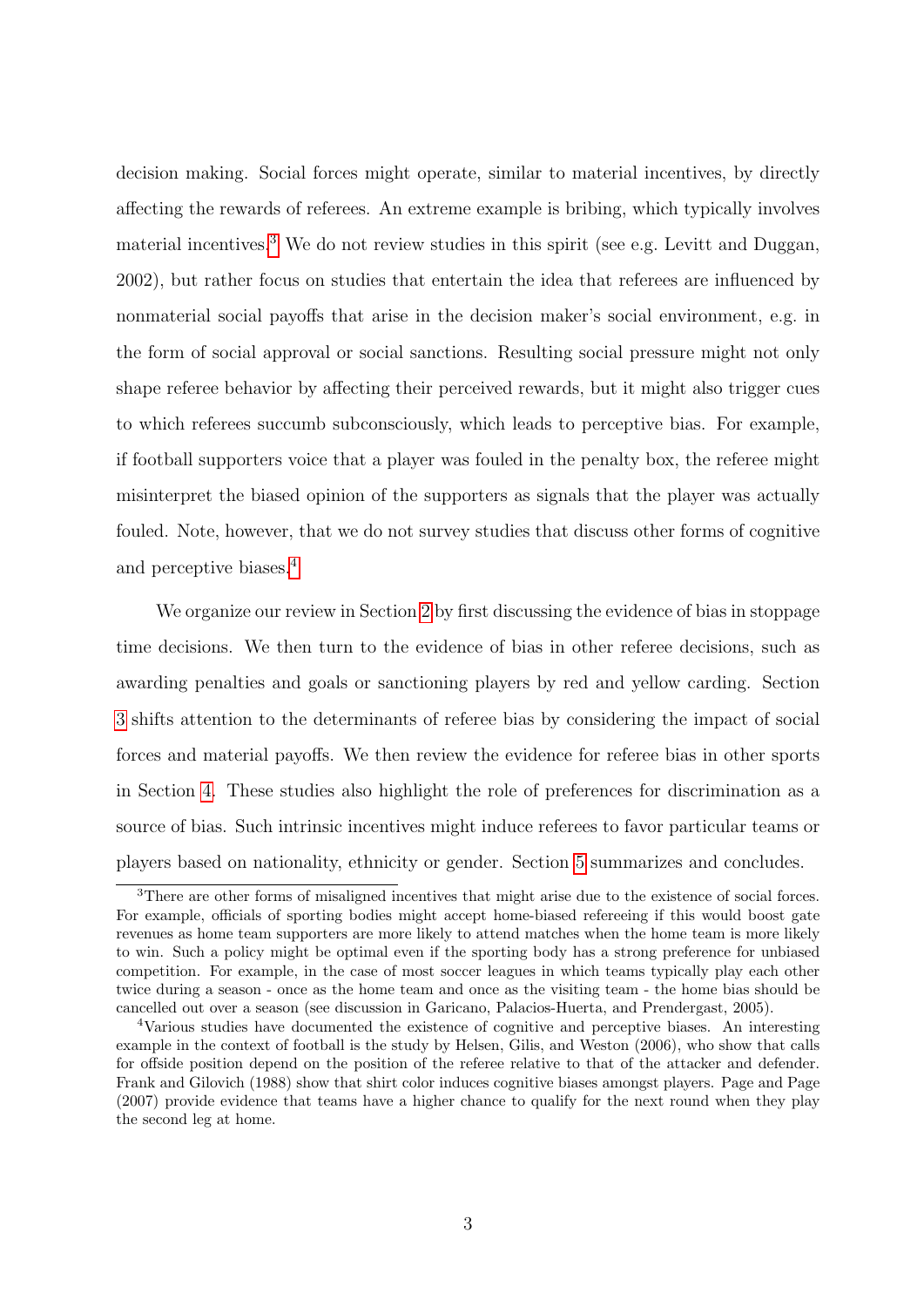decision making. Social forces might operate, similar to material incentives, by directly affecting the rewards of referees. An extreme example is bribing, which typically involves material incentives.<sup>[3](#page--1-0)</sup> We do not review studies in this spirit (see e.g. Levitt and Duggan, 2002), but rather focus on studies that entertain the idea that referees are influenced by nonmaterial social payoffs that arise in the decision maker's social environment, e.g. in the form of social approval or social sanctions. Resulting social pressure might not only shape referee behavior by affecting their perceived rewards, but it might also trigger cues to which referees succumb subconsciously, which leads to perceptive bias. For example, if football supporters voice that a player was fouled in the penalty box, the referee might misinterpret the biased opinion of the supporters as signals that the player was actually fouled. Note, however, that we do not survey studies that discuss other forms of cognitive and perceptive biases.[4](#page--1-0)

We organize our review in Section [2](#page-6-0) by first discussing the evidence of bias in stoppage time decisions. We then turn to the evidence of bias in other referee decisions, such as awarding penalties and goals or sanctioning players by red and yellow carding. Section [3](#page-14-0) shifts attention to the determinants of referee bias by considering the impact of social forces and material payoffs. We then review the evidence for referee bias in other sports in Section [4.](#page-19-0) These studies also highlight the role of preferences for discrimination as a source of bias. Such intrinsic incentives might induce referees to favor particular teams or players based on nationality, ethnicity or gender. Section [5](#page-20-0) summarizes and concludes.

<sup>&</sup>lt;sup>3</sup>There are other forms of misaligned incentives that might arise due to the existence of social forces. For example, officials of sporting bodies might accept home-biased refereeing if this would boost gate revenues as home team supporters are more likely to attend matches when the home team is more likely to win. Such a policy might be optimal even if the sporting body has a strong preference for unbiased competition. For example, in the case of most soccer leagues in which teams typically play each other twice during a season - once as the home team and once as the visiting team - the home bias should be cancelled out over a season (see discussion in Garicano, Palacios-Huerta, and Prendergast, 2005).

<sup>4</sup>Various studies have documented the existence of cognitive and perceptive biases. An interesting example in the context of football is the study by Helsen, Gilis, and Weston (2006), who show that calls for offside position depend on the position of the referee relative to that of the attacker and defender. Frank and Gilovich (1988) show that shirt color induces cognitive biases amongst players. Page and Page (2007) provide evidence that teams have a higher chance to qualify for the next round when they play the second leg at home.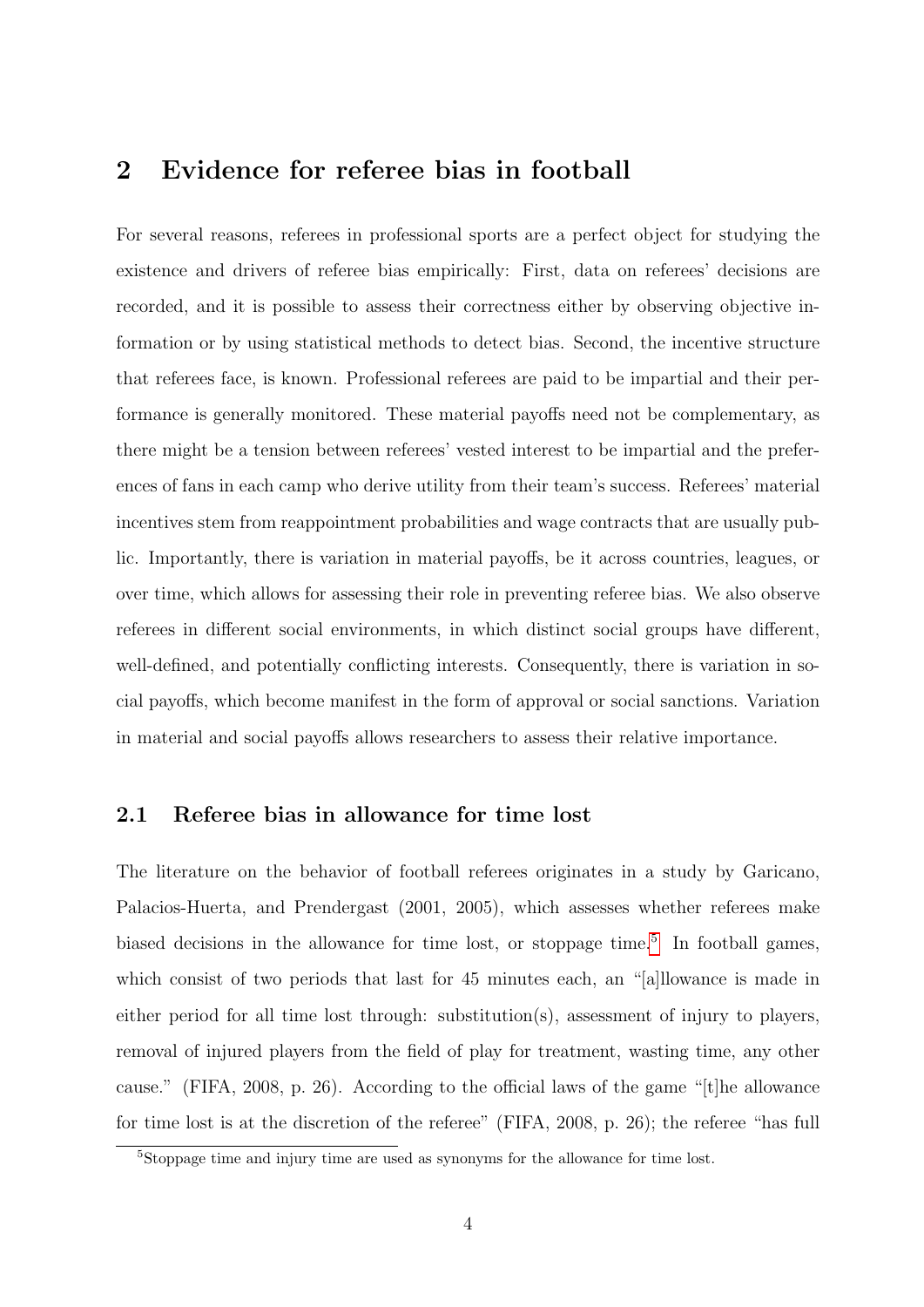### <span id="page-6-0"></span>2 Evidence for referee bias in football

For several reasons, referees in professional sports are a perfect object for studying the existence and drivers of referee bias empirically: First, data on referees' decisions are recorded, and it is possible to assess their correctness either by observing objective information or by using statistical methods to detect bias. Second, the incentive structure that referees face, is known. Professional referees are paid to be impartial and their performance is generally monitored. These material payoffs need not be complementary, as there might be a tension between referees' vested interest to be impartial and the preferences of fans in each camp who derive utility from their team's success. Referees' material incentives stem from reappointment probabilities and wage contracts that are usually public. Importantly, there is variation in material payoffs, be it across countries, leagues, or over time, which allows for assessing their role in preventing referee bias. We also observe referees in different social environments, in which distinct social groups have different, well-defined, and potentially conflicting interests. Consequently, there is variation in social payoffs, which become manifest in the form of approval or social sanctions. Variation in material and social payoffs allows researchers to assess their relative importance.

#### 2.1 Referee bias in allowance for time lost

The literature on the behavior of football referees originates in a study by Garicano, Palacios-Huerta, and Prendergast (2001, 2005), which assesses whether referees make biased decisions in the allowance for time lost, or stoppage time.<sup>[5](#page--1-0)</sup> In football games, which consist of two periods that last for 45 minutes each, an "[a]llowance is made in either period for all time lost through: substitution(s), assessment of injury to players, removal of injured players from the field of play for treatment, wasting time, any other cause." (FIFA, 2008, p. 26). According to the official laws of the game "[t]he allowance for time lost is at the discretion of the referee" (FIFA, 2008, p. 26); the referee "has full

<sup>5</sup>Stoppage time and injury time are used as synonyms for the allowance for time lost.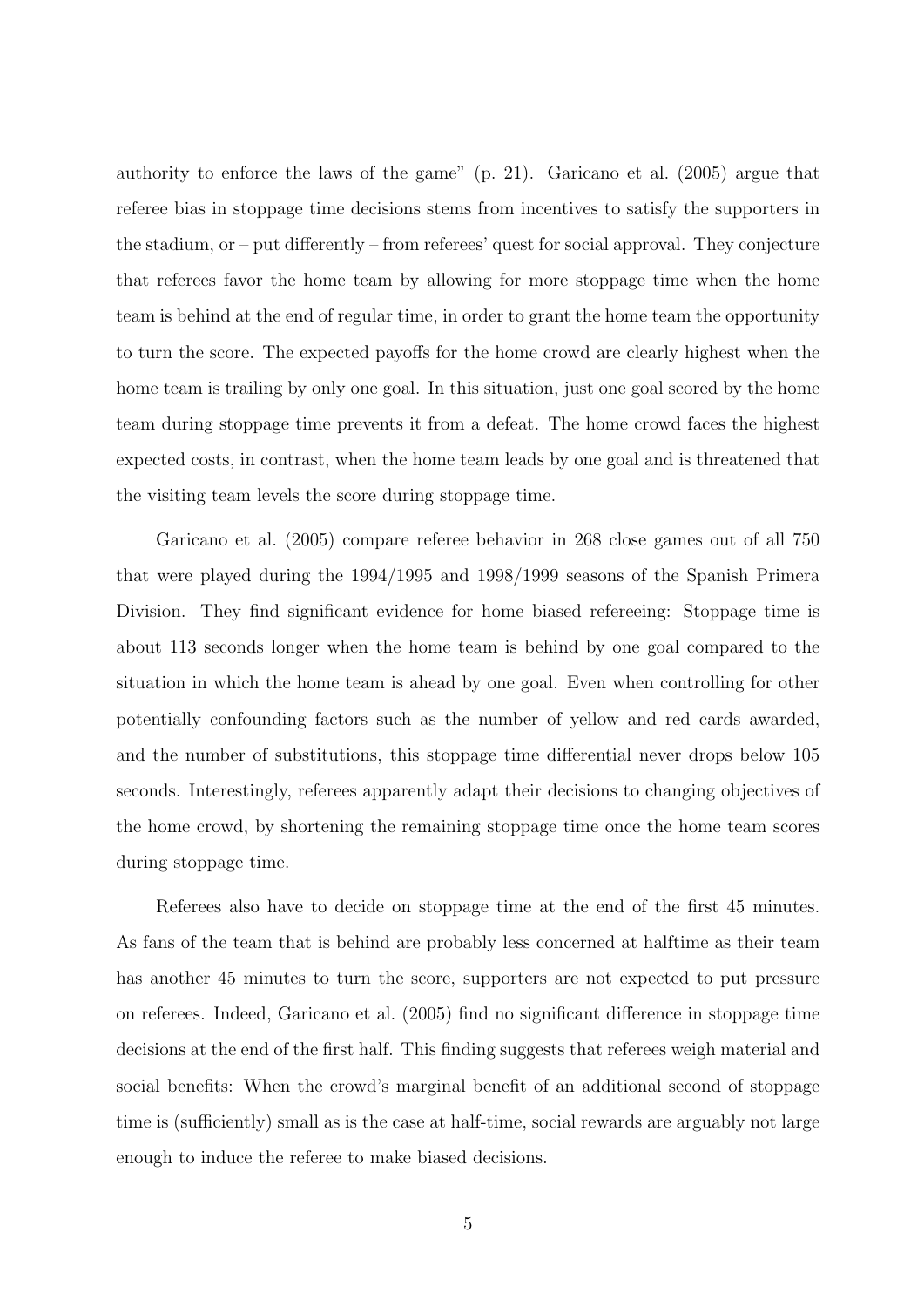authority to enforce the laws of the game" (p. 21). Garicano et al. (2005) argue that referee bias in stoppage time decisions stems from incentives to satisfy the supporters in the stadium, or – put differently – from referees' quest for social approval. They conjecture that referees favor the home team by allowing for more stoppage time when the home team is behind at the end of regular time, in order to grant the home team the opportunity to turn the score. The expected payoffs for the home crowd are clearly highest when the home team is trailing by only one goal. In this situation, just one goal scored by the home team during stoppage time prevents it from a defeat. The home crowd faces the highest expected costs, in contrast, when the home team leads by one goal and is threatened that the visiting team levels the score during stoppage time.

Garicano et al. (2005) compare referee behavior in 268 close games out of all 750 that were played during the 1994/1995 and 1998/1999 seasons of the Spanish Primera Division. They find significant evidence for home biased refereeing: Stoppage time is about 113 seconds longer when the home team is behind by one goal compared to the situation in which the home team is ahead by one goal. Even when controlling for other potentially confounding factors such as the number of yellow and red cards awarded, and the number of substitutions, this stoppage time differential never drops below 105 seconds. Interestingly, referees apparently adapt their decisions to changing objectives of the home crowd, by shortening the remaining stoppage time once the home team scores during stoppage time.

Referees also have to decide on stoppage time at the end of the first 45 minutes. As fans of the team that is behind are probably less concerned at halftime as their team has another 45 minutes to turn the score, supporters are not expected to put pressure on referees. Indeed, Garicano et al. (2005) find no significant difference in stoppage time decisions at the end of the first half. This finding suggests that referees weigh material and social benefits: When the crowd's marginal benefit of an additional second of stoppage time is (sufficiently) small as is the case at half-time, social rewards are arguably not large enough to induce the referee to make biased decisions.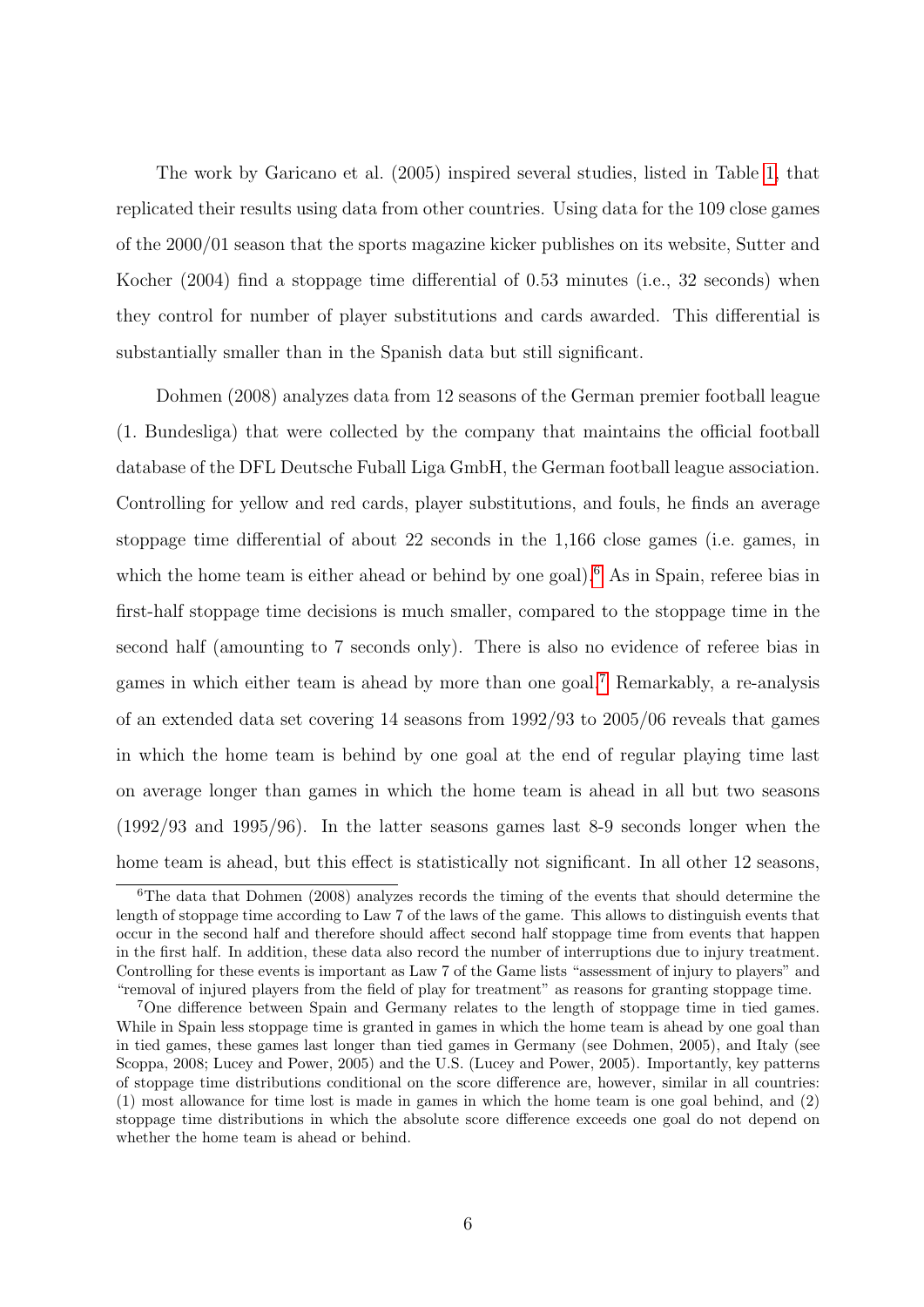The work by Garicano et al. (2005) inspired several studies, listed in Table [1,](#page-28-0) that replicated their results using data from other countries. Using data for the 109 close games of the 2000/01 season that the sports magazine kicker publishes on its website, Sutter and Kocher (2004) find a stoppage time differential of 0.53 minutes (i.e., 32 seconds) when they control for number of player substitutions and cards awarded. This differential is substantially smaller than in the Spanish data but still significant.

Dohmen (2008) analyzes data from 12 seasons of the German premier football league (1. Bundesliga) that were collected by the company that maintains the official football database of the DFL Deutsche Fuball Liga GmbH, the German football league association. Controlling for yellow and red cards, player substitutions, and fouls, he finds an average stoppage time differential of about 22 seconds in the 1,166 close games (i.e. games, in which the home team is either ahead or behind by one goal).<sup>[6](#page--1-0)</sup> As in Spain, referee bias in first-half stoppage time decisions is much smaller, compared to the stoppage time in the second half (amounting to 7 seconds only). There is also no evidence of referee bias in games in which either team is ahead by more than one goal.[7](#page--1-0) Remarkably, a re-analysis of an extended data set covering 14 seasons from 1992/93 to 2005/06 reveals that games in which the home team is behind by one goal at the end of regular playing time last on average longer than games in which the home team is ahead in all but two seasons (1992/93 and 1995/96). In the latter seasons games last 8-9 seconds longer when the home team is ahead, but this effect is statistically not significant. In all other 12 seasons,

 ${}^{6}$ The data that Dohmen (2008) analyzes records the timing of the events that should determine the length of stoppage time according to Law 7 of the laws of the game. This allows to distinguish events that occur in the second half and therefore should affect second half stoppage time from events that happen in the first half. In addition, these data also record the number of interruptions due to injury treatment. Controlling for these events is important as Law 7 of the Game lists "assessment of injury to players" and "removal of injured players from the field of play for treatment" as reasons for granting stoppage time.

<sup>7</sup>One difference between Spain and Germany relates to the length of stoppage time in tied games. While in Spain less stoppage time is granted in games in which the home team is ahead by one goal than in tied games, these games last longer than tied games in Germany (see Dohmen, 2005), and Italy (see Scoppa, 2008; Lucey and Power, 2005) and the U.S. (Lucey and Power, 2005). Importantly, key patterns of stoppage time distributions conditional on the score difference are, however, similar in all countries: (1) most allowance for time lost is made in games in which the home team is one goal behind, and (2) stoppage time distributions in which the absolute score difference exceeds one goal do not depend on whether the home team is ahead or behind.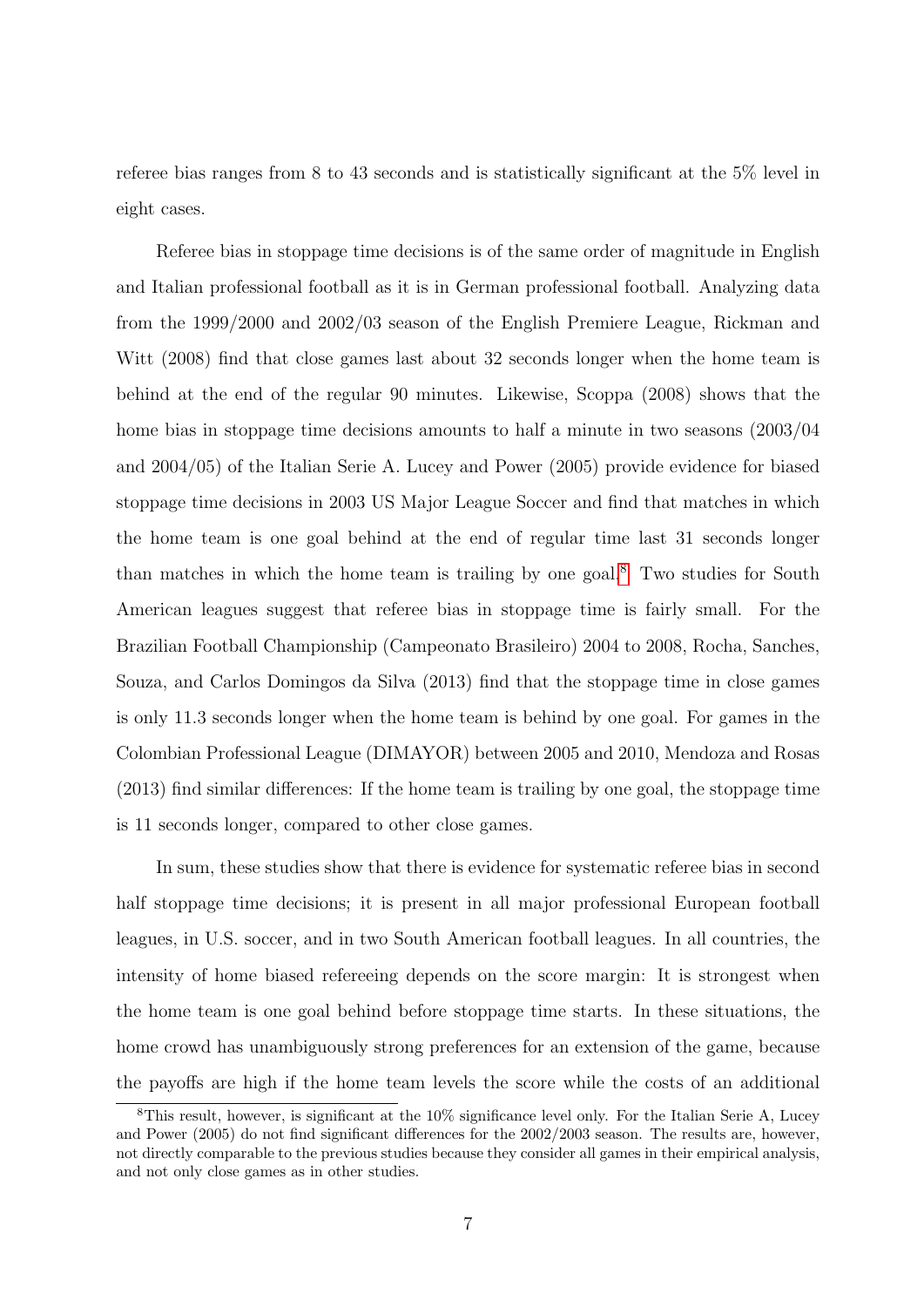referee bias ranges from 8 to 43 seconds and is statistically significant at the 5% level in eight cases.

Referee bias in stoppage time decisions is of the same order of magnitude in English and Italian professional football as it is in German professional football. Analyzing data from the 1999/2000 and 2002/03 season of the English Premiere League, Rickman and Witt (2008) find that close games last about 32 seconds longer when the home team is behind at the end of the regular 90 minutes. Likewise, Scoppa (2008) shows that the home bias in stoppage time decisions amounts to half a minute in two seasons (2003/04 and 2004/05) of the Italian Serie A. Lucey and Power (2005) provide evidence for biased stoppage time decisions in 2003 US Major League Soccer and find that matches in which the home team is one goal behind at the end of regular time last 31 seconds longer than matches in which the home team is trailing by one goal.<sup>[8](#page--1-0)</sup> Two studies for South American leagues suggest that referee bias in stoppage time is fairly small. For the Brazilian Football Championship (Campeonato Brasileiro) 2004 to 2008, Rocha, Sanches, Souza, and Carlos Domingos da Silva (2013) find that the stoppage time in close games is only 11.3 seconds longer when the home team is behind by one goal. For games in the Colombian Professional League (DIMAYOR) between 2005 and 2010, Mendoza and Rosas (2013) find similar differences: If the home team is trailing by one goal, the stoppage time is 11 seconds longer, compared to other close games.

In sum, these studies show that there is evidence for systematic referee bias in second half stoppage time decisions; it is present in all major professional European football leagues, in U.S. soccer, and in two South American football leagues. In all countries, the intensity of home biased refereeing depends on the score margin: It is strongest when the home team is one goal behind before stoppage time starts. In these situations, the home crowd has unambiguously strong preferences for an extension of the game, because the payoffs are high if the home team levels the score while the costs of an additional

 $8$ This result, however, is significant at the 10% significance level only. For the Italian Serie A, Lucey and Power (2005) do not find significant differences for the 2002/2003 season. The results are, however, not directly comparable to the previous studies because they consider all games in their empirical analysis, and not only close games as in other studies.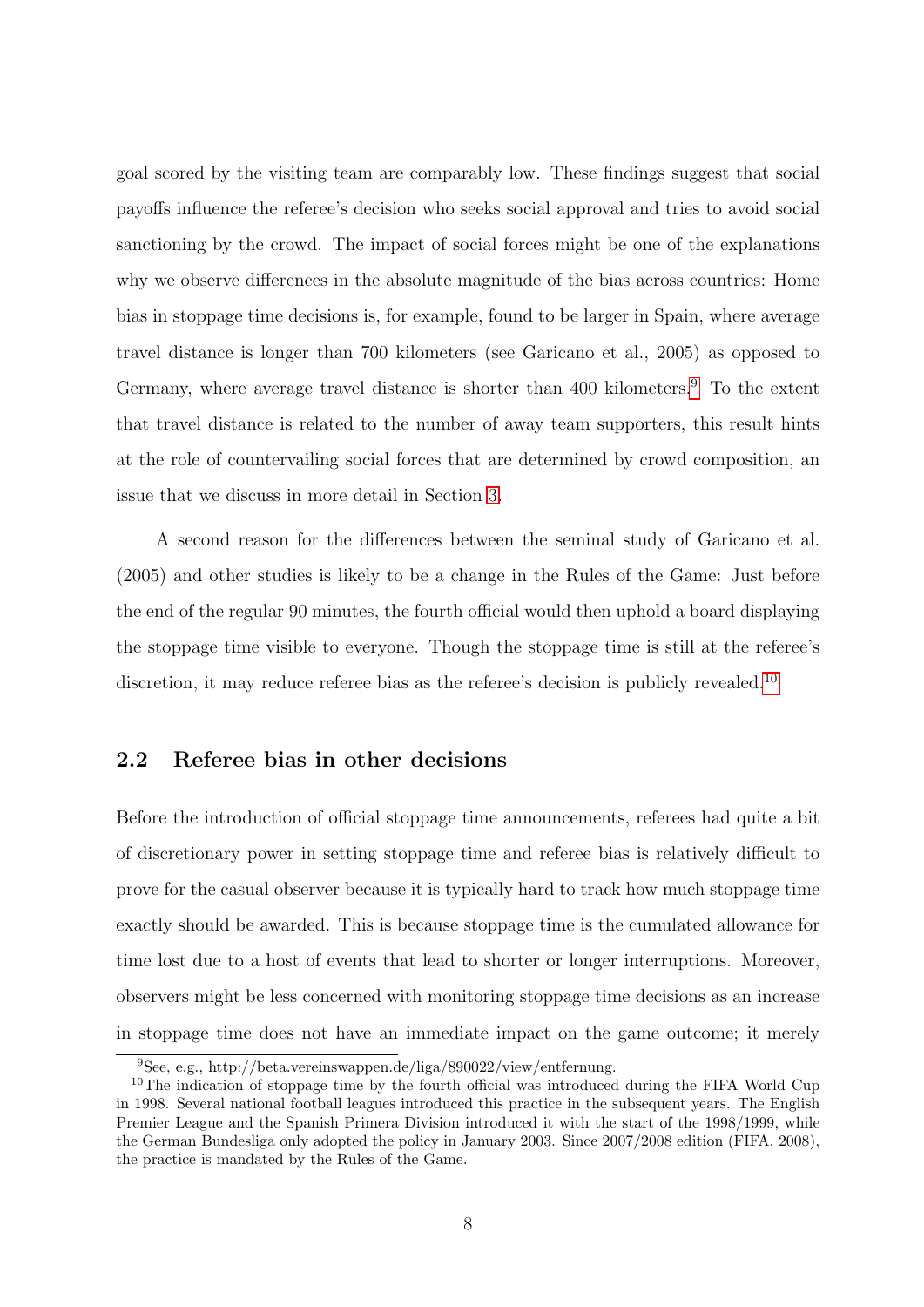goal scored by the visiting team are comparably low. These findings suggest that social payoffs influence the referee's decision who seeks social approval and tries to avoid social sanctioning by the crowd. The impact of social forces might be one of the explanations why we observe differences in the absolute magnitude of the bias across countries: Home bias in stoppage time decisions is, for example, found to be larger in Spain, where average travel distance is longer than 700 kilometers (see Garicano et al., 2005) as opposed to Germany, where average travel distance is shorter than 400 kilometers.<sup>[9](#page--1-0)</sup> To the extent that travel distance is related to the number of away team supporters, this result hints at the role of countervailing social forces that are determined by crowd composition, an issue that we discuss in more detail in Section [3.](#page-14-0)

A second reason for the differences between the seminal study of Garicano et al. (2005) and other studies is likely to be a change in the Rules of the Game: Just before the end of the regular 90 minutes, the fourth official would then uphold a board displaying the stoppage time visible to everyone. Though the stoppage time is still at the referee's discretion, it may reduce referee bias as the referee's decision is publicly revealed.<sup>[10](#page--1-0)</sup>

### 2.2 Referee bias in other decisions

Before the introduction of official stoppage time announcements, referees had quite a bit of discretionary power in setting stoppage time and referee bias is relatively difficult to prove for the casual observer because it is typically hard to track how much stoppage time exactly should be awarded. This is because stoppage time is the cumulated allowance for time lost due to a host of events that lead to shorter or longer interruptions. Moreover, observers might be less concerned with monitoring stoppage time decisions as an increase in stoppage time does not have an immediate impact on the game outcome; it merely

<sup>9</sup>See, e.g., http://beta.vereinswappen.de/liga/890022/view/entfernung.

<sup>&</sup>lt;sup>10</sup>The indication of stoppage time by the fourth official was introduced during the FIFA World Cup in 1998. Several national football leagues introduced this practice in the subsequent years. The English Premier League and the Spanish Primera Division introduced it with the start of the 1998/1999, while the German Bundesliga only adopted the policy in January 2003. Since 2007/2008 edition (FIFA, 2008), the practice is mandated by the Rules of the Game.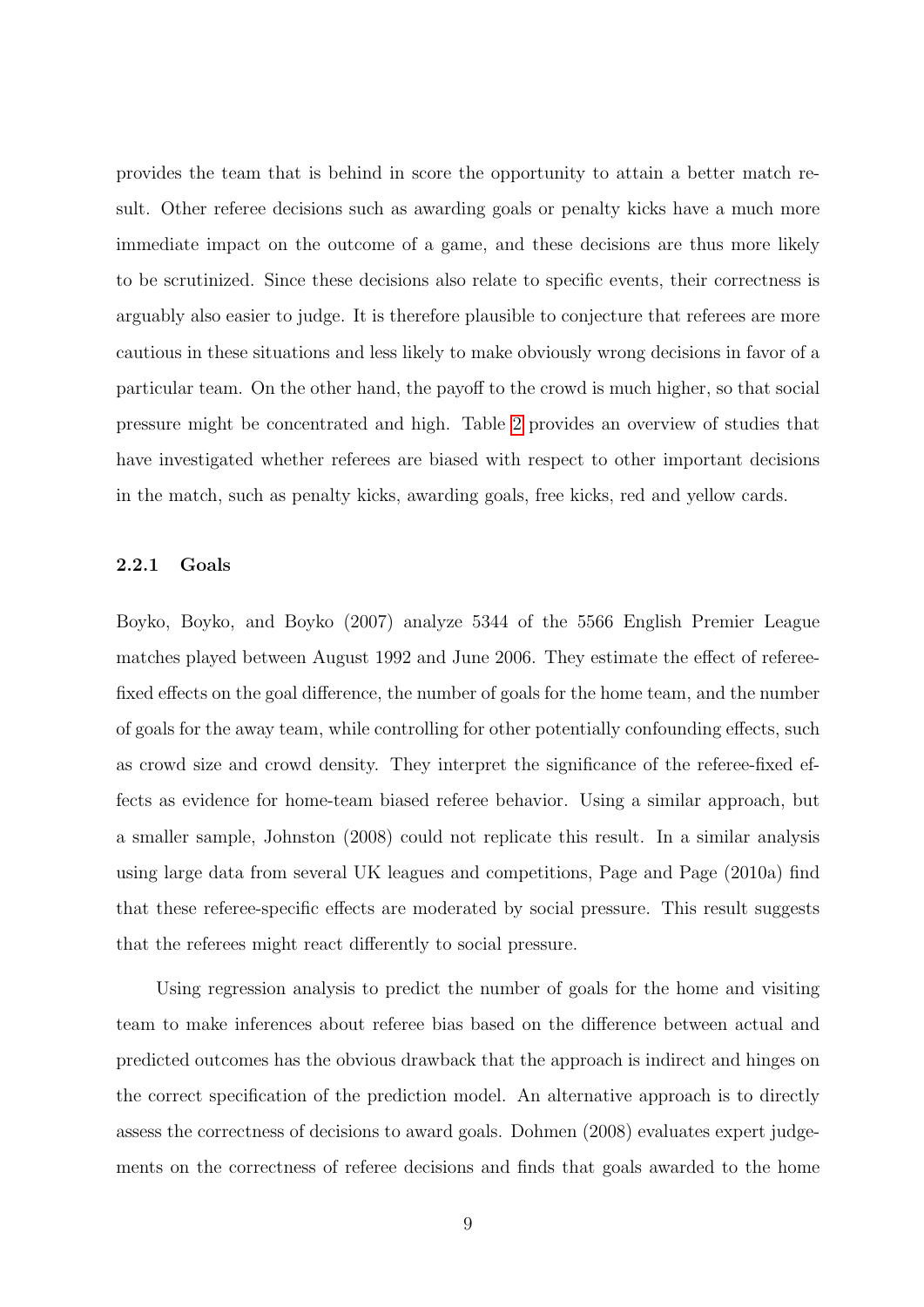provides the team that is behind in score the opportunity to attain a better match result. Other referee decisions such as awarding goals or penalty kicks have a much more immediate impact on the outcome of a game, and these decisions are thus more likely to be scrutinized. Since these decisions also relate to specific events, their correctness is arguably also easier to judge. It is therefore plausible to conjecture that referees are more cautious in these situations and less likely to make obviously wrong decisions in favor of a particular team. On the other hand, the payoff to the crowd is much higher, so that social pressure might be concentrated and high. Table [2](#page-29-0) provides an overview of studies that have investigated whether referees are biased with respect to other important decisions in the match, such as penalty kicks, awarding goals, free kicks, red and yellow cards.

#### 2.2.1 Goals

Boyko, Boyko, and Boyko (2007) analyze 5344 of the 5566 English Premier League matches played between August 1992 and June 2006. They estimate the effect of refereefixed effects on the goal difference, the number of goals for the home team, and the number of goals for the away team, while controlling for other potentially confounding effects, such as crowd size and crowd density. They interpret the significance of the referee-fixed effects as evidence for home-team biased referee behavior. Using a similar approach, but a smaller sample, Johnston (2008) could not replicate this result. In a similar analysis using large data from several UK leagues and competitions, Page and Page (2010a) find that these referee-specific effects are moderated by social pressure. This result suggests that the referees might react differently to social pressure.

Using regression analysis to predict the number of goals for the home and visiting team to make inferences about referee bias based on the difference between actual and predicted outcomes has the obvious drawback that the approach is indirect and hinges on the correct specification of the prediction model. An alternative approach is to directly assess the correctness of decisions to award goals. Dohmen (2008) evaluates expert judgements on the correctness of referee decisions and finds that goals awarded to the home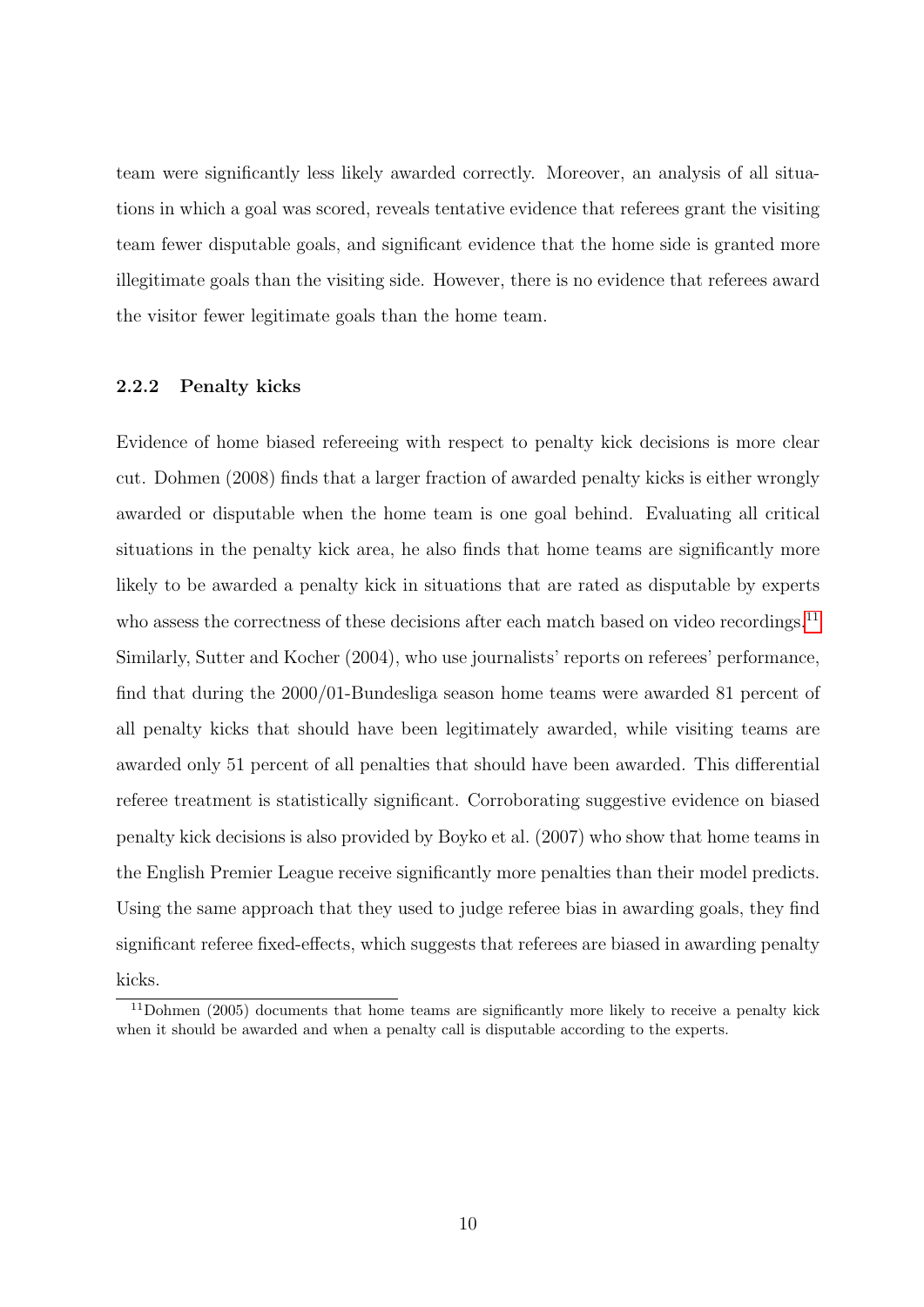team were significantly less likely awarded correctly. Moreover, an analysis of all situations in which a goal was scored, reveals tentative evidence that referees grant the visiting team fewer disputable goals, and significant evidence that the home side is granted more illegitimate goals than the visiting side. However, there is no evidence that referees award the visitor fewer legitimate goals than the home team.

#### 2.2.2 Penalty kicks

Evidence of home biased refereeing with respect to penalty kick decisions is more clear cut. Dohmen (2008) finds that a larger fraction of awarded penalty kicks is either wrongly awarded or disputable when the home team is one goal behind. Evaluating all critical situations in the penalty kick area, he also finds that home teams are significantly more likely to be awarded a penalty kick in situations that are rated as disputable by experts who assess the correctness of these decisions after each match based on video recordings.<sup>[11](#page--1-0)</sup> Similarly, Sutter and Kocher (2004), who use journalists' reports on referees' performance, find that during the 2000/01-Bundesliga season home teams were awarded 81 percent of all penalty kicks that should have been legitimately awarded, while visiting teams are awarded only 51 percent of all penalties that should have been awarded. This differential referee treatment is statistically significant. Corroborating suggestive evidence on biased penalty kick decisions is also provided by Boyko et al. (2007) who show that home teams in the English Premier League receive significantly more penalties than their model predicts. Using the same approach that they used to judge referee bias in awarding goals, they find significant referee fixed-effects, which suggests that referees are biased in awarding penalty kicks.

<sup>&</sup>lt;sup>11</sup>Dohmen (2005) documents that home teams are significantly more likely to receive a penalty kick when it should be awarded and when a penalty call is disputable according to the experts.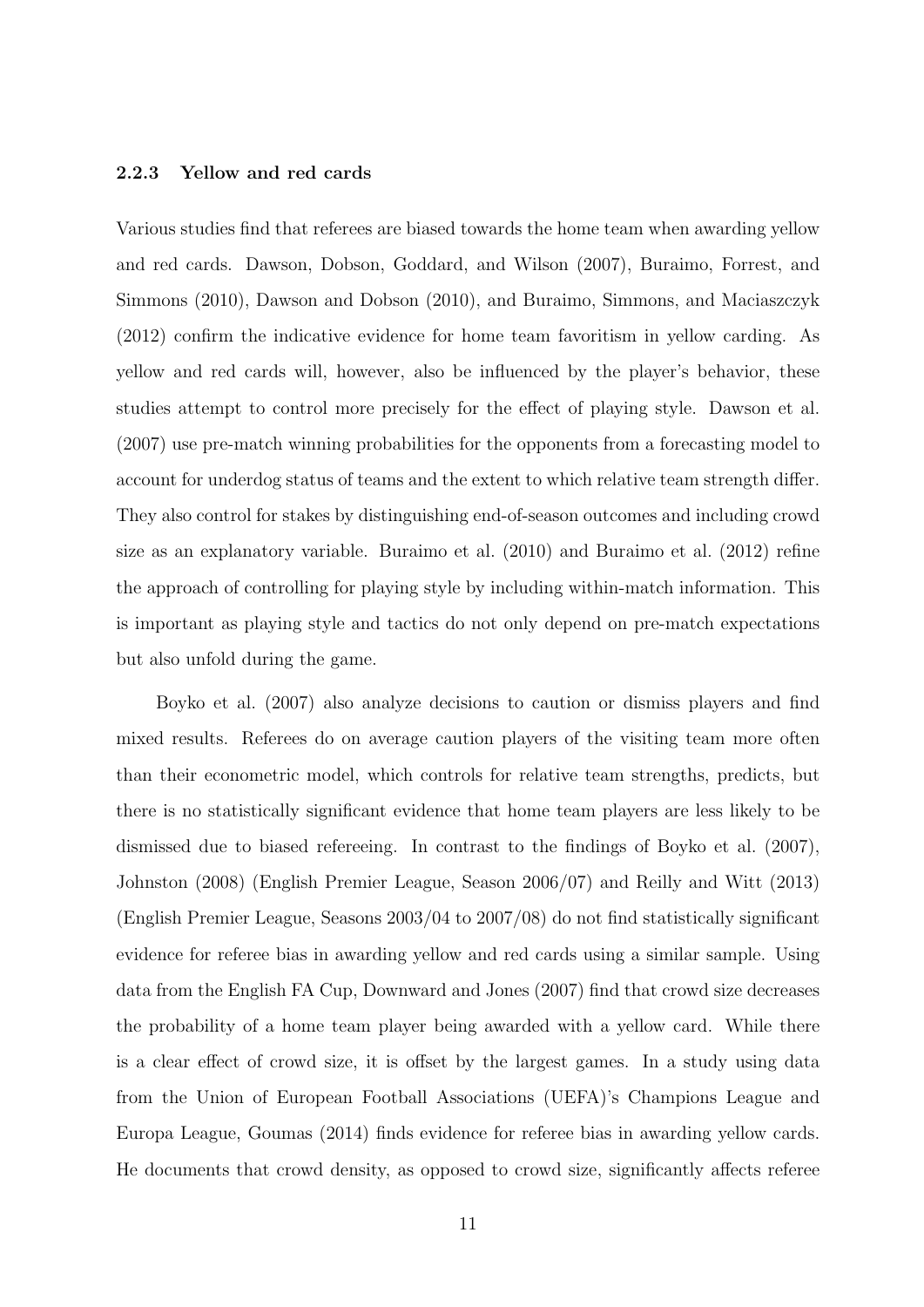#### 2.2.3 Yellow and red cards

Various studies find that referees are biased towards the home team when awarding yellow and red cards. Dawson, Dobson, Goddard, and Wilson (2007), Buraimo, Forrest, and Simmons (2010), Dawson and Dobson (2010), and Buraimo, Simmons, and Maciaszczyk (2012) confirm the indicative evidence for home team favoritism in yellow carding. As yellow and red cards will, however, also be influenced by the player's behavior, these studies attempt to control more precisely for the effect of playing style. Dawson et al. (2007) use pre-match winning probabilities for the opponents from a forecasting model to account for underdog status of teams and the extent to which relative team strength differ. They also control for stakes by distinguishing end-of-season outcomes and including crowd size as an explanatory variable. Buraimo et al. (2010) and Buraimo et al. (2012) refine the approach of controlling for playing style by including within-match information. This is important as playing style and tactics do not only depend on pre-match expectations but also unfold during the game.

Boyko et al. (2007) also analyze decisions to caution or dismiss players and find mixed results. Referees do on average caution players of the visiting team more often than their econometric model, which controls for relative team strengths, predicts, but there is no statistically significant evidence that home team players are less likely to be dismissed due to biased refereeing. In contrast to the findings of Boyko et al. (2007), Johnston (2008) (English Premier League, Season 2006/07) and Reilly and Witt (2013) (English Premier League, Seasons 2003/04 to 2007/08) do not find statistically significant evidence for referee bias in awarding yellow and red cards using a similar sample. Using data from the English FA Cup, Downward and Jones (2007) find that crowd size decreases the probability of a home team player being awarded with a yellow card. While there is a clear effect of crowd size, it is offset by the largest games. In a study using data from the Union of European Football Associations (UEFA)'s Champions League and Europa League, Goumas (2014) finds evidence for referee bias in awarding yellow cards. He documents that crowd density, as opposed to crowd size, significantly affects referee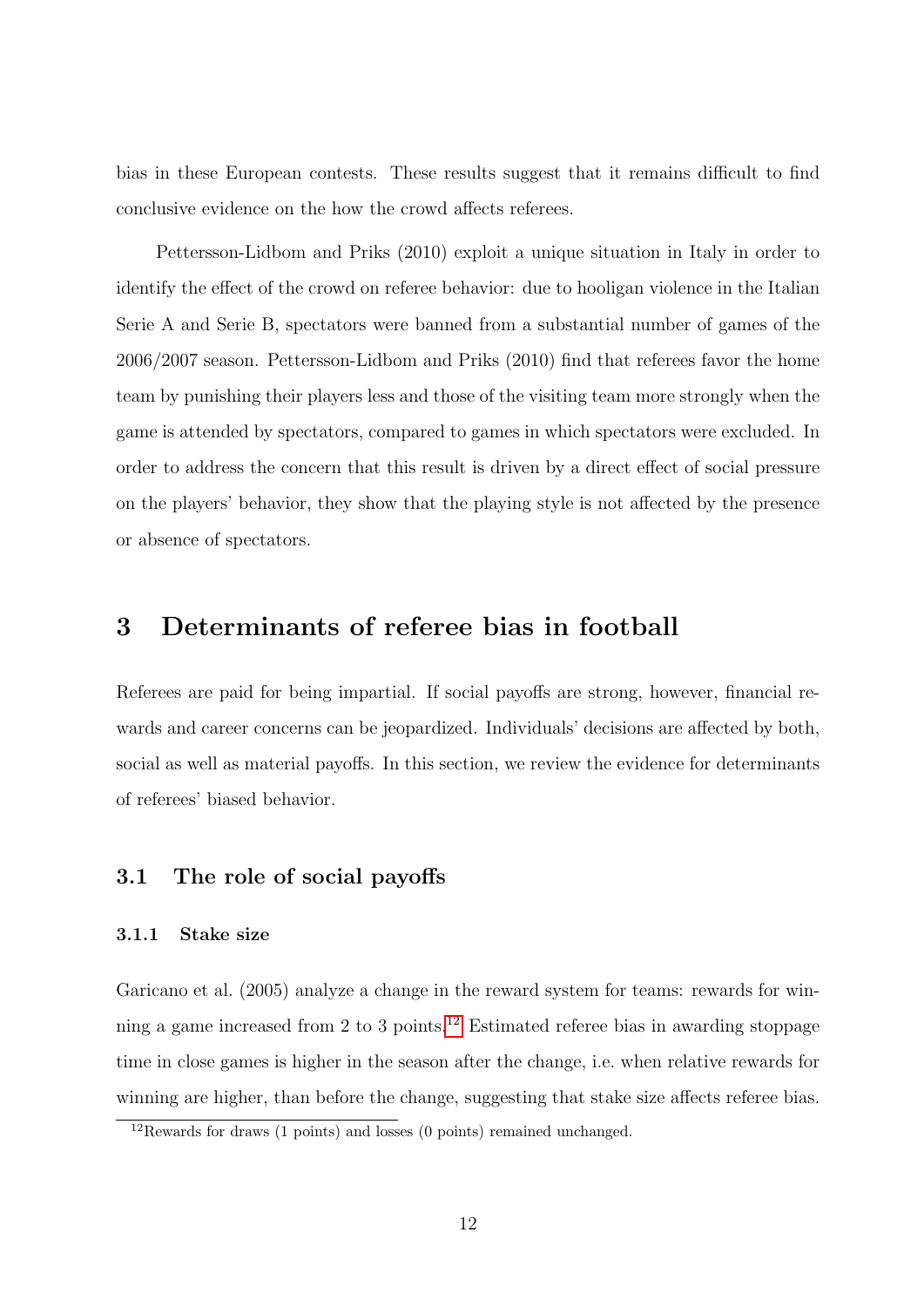bias in these European contests. These results suggest that it remains difficult to find conclusive evidence on the how the crowd affects referees.

Pettersson-Lidbom and Priks (2010) exploit a unique situation in Italy in order to identify the effect of the crowd on referee behavior: due to hooligan violence in the Italian Serie A and Serie B, spectators were banned from a substantial number of games of the 2006/2007 season. Pettersson-Lidbom and Priks (2010) find that referees favor the home team by punishing their players less and those of the visiting team more strongly when the game is attended by spectators, compared to games in which spectators were excluded. In order to address the concern that this result is driven by a direct effect of social pressure on the players' behavior, they show that the playing style is not affected by the presence or absence of spectators.

### <span id="page-14-0"></span>3 Determinants of referee bias in football

Referees are paid for being impartial. If social payoffs are strong, however, financial rewards and career concerns can be jeopardized. Individuals' decisions are affected by both, social as well as material payoffs. In this section, we review the evidence for determinants of referees' biased behavior.

#### 3.1 The role of social payoffs

#### 3.1.1 Stake size

Garicano et al. (2005) analyze a change in the reward system for teams: rewards for winning a game increased from 2 to 3 points.[12](#page--1-0) Estimated referee bias in awarding stoppage time in close games is higher in the season after the change, i.e. when relative rewards for winning are higher, than before the change, suggesting that stake size affects referee bias.

 $12$ Rewards for draws (1 points) and losses (0 points) remained unchanged.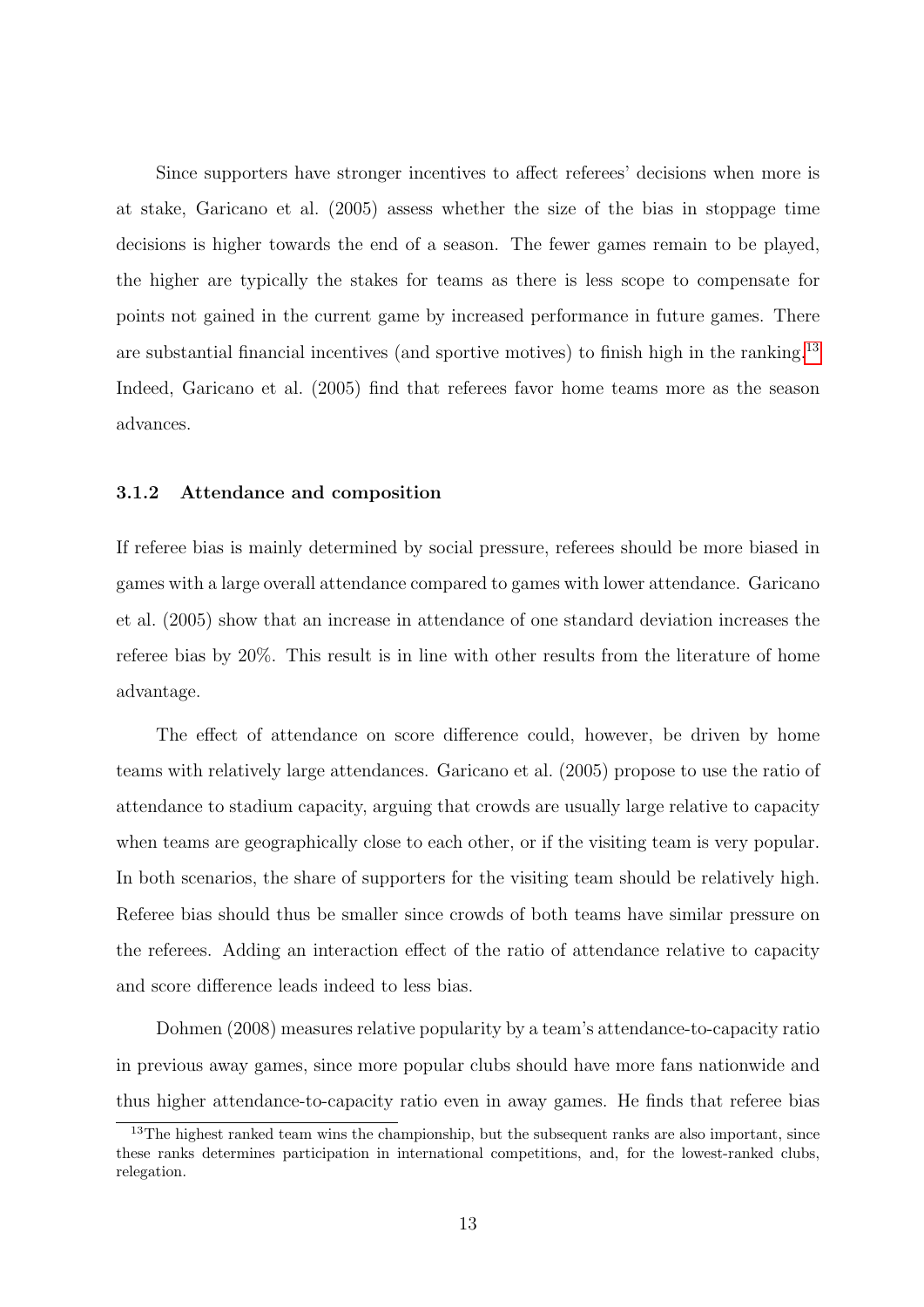Since supporters have stronger incentives to affect referees' decisions when more is at stake, Garicano et al. (2005) assess whether the size of the bias in stoppage time decisions is higher towards the end of a season. The fewer games remain to be played, the higher are typically the stakes for teams as there is less scope to compensate for points not gained in the current game by increased performance in future games. There are substantial financial incentives (and sportive motives) to finish high in the ranking.<sup>[13](#page--1-0)</sup> Indeed, Garicano et al. (2005) find that referees favor home teams more as the season advances.

#### 3.1.2 Attendance and composition

If referee bias is mainly determined by social pressure, referees should be more biased in games with a large overall attendance compared to games with lower attendance. Garicano et al. (2005) show that an increase in attendance of one standard deviation increases the referee bias by 20%. This result is in line with other results from the literature of home advantage.

The effect of attendance on score difference could, however, be driven by home teams with relatively large attendances. Garicano et al. (2005) propose to use the ratio of attendance to stadium capacity, arguing that crowds are usually large relative to capacity when teams are geographically close to each other, or if the visiting team is very popular. In both scenarios, the share of supporters for the visiting team should be relatively high. Referee bias should thus be smaller since crowds of both teams have similar pressure on the referees. Adding an interaction effect of the ratio of attendance relative to capacity and score difference leads indeed to less bias.

Dohmen (2008) measures relative popularity by a team's attendance-to-capacity ratio in previous away games, since more popular clubs should have more fans nationwide and thus higher attendance-to-capacity ratio even in away games. He finds that referee bias

<sup>&</sup>lt;sup>13</sup>The highest ranked team wins the championship, but the subsequent ranks are also important, since these ranks determines participation in international competitions, and, for the lowest-ranked clubs, relegation.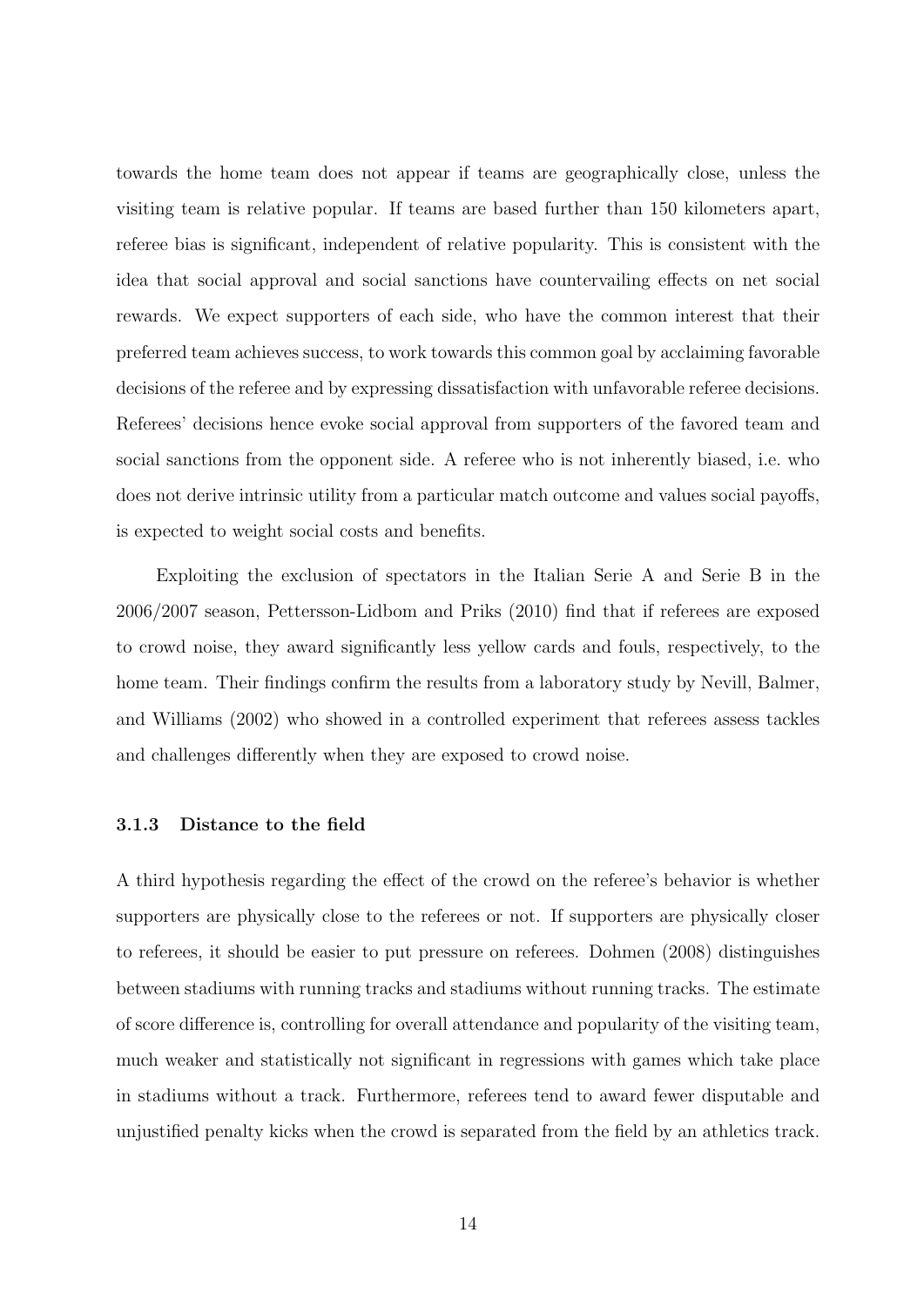towards the home team does not appear if teams are geographically close, unless the visiting team is relative popular. If teams are based further than 150 kilometers apart, referee bias is significant, independent of relative popularity. This is consistent with the idea that social approval and social sanctions have countervailing effects on net social rewards. We expect supporters of each side, who have the common interest that their preferred team achieves success, to work towards this common goal by acclaiming favorable decisions of the referee and by expressing dissatisfaction with unfavorable referee decisions. Referees' decisions hence evoke social approval from supporters of the favored team and social sanctions from the opponent side. A referee who is not inherently biased, i.e. who does not derive intrinsic utility from a particular match outcome and values social payoffs, is expected to weight social costs and benefits.

Exploiting the exclusion of spectators in the Italian Serie A and Serie B in the 2006/2007 season, Pettersson-Lidbom and Priks (2010) find that if referees are exposed to crowd noise, they award significantly less yellow cards and fouls, respectively, to the home team. Their findings confirm the results from a laboratory study by Nevill, Balmer, and Williams (2002) who showed in a controlled experiment that referees assess tackles and challenges differently when they are exposed to crowd noise.

#### 3.1.3 Distance to the field

A third hypothesis regarding the effect of the crowd on the referee's behavior is whether supporters are physically close to the referees or not. If supporters are physically closer to referees, it should be easier to put pressure on referees. Dohmen (2008) distinguishes between stadiums with running tracks and stadiums without running tracks. The estimate of score difference is, controlling for overall attendance and popularity of the visiting team, much weaker and statistically not significant in regressions with games which take place in stadiums without a track. Furthermore, referees tend to award fewer disputable and unjustified penalty kicks when the crowd is separated from the field by an athletics track.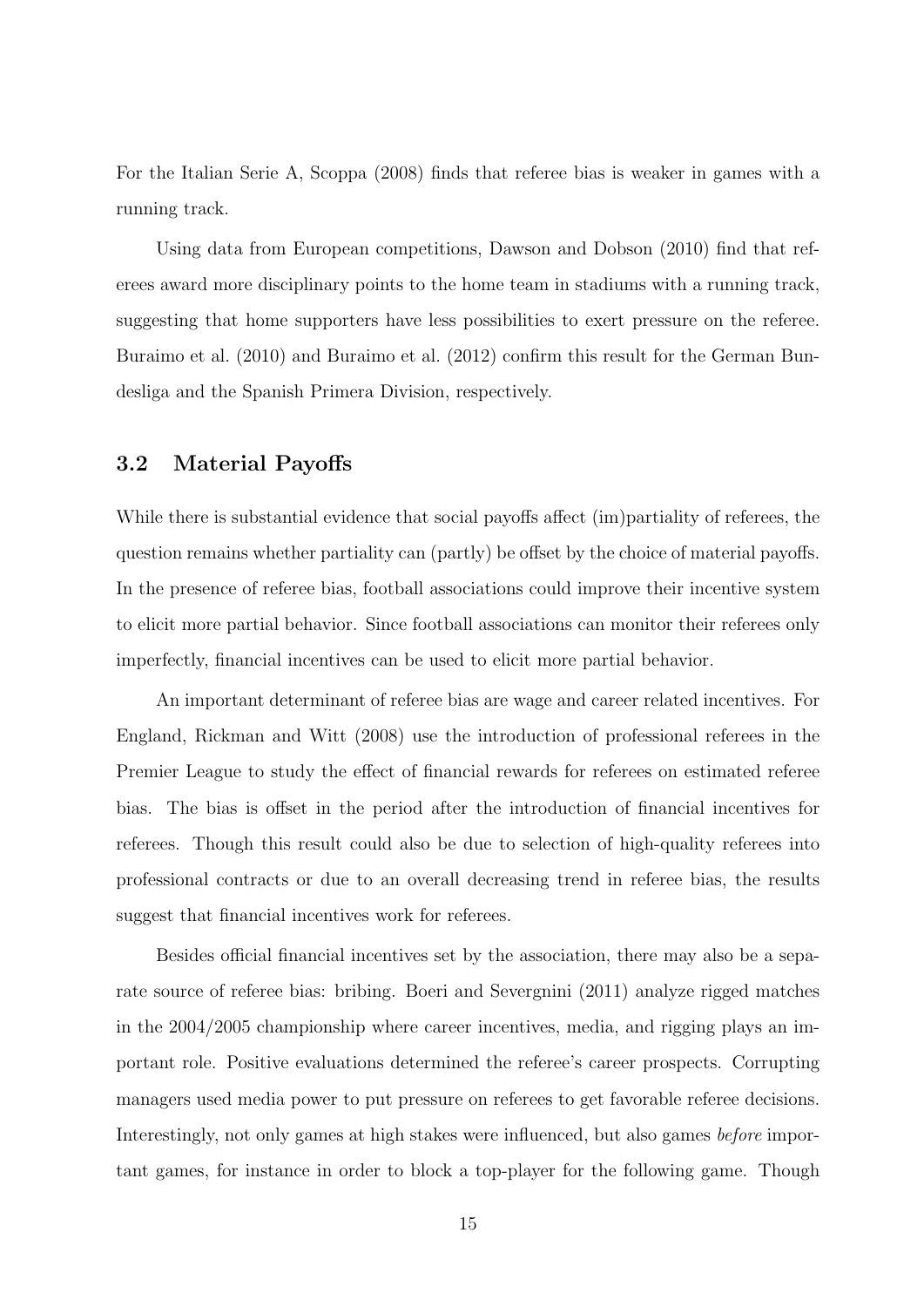For the Italian Serie A, Scoppa (2008) finds that referee bias is weaker in games with a running track.

Using data from European competitions, Dawson and Dobson (2010) find that referees award more disciplinary points to the home team in stadiums with a running track, suggesting that home supporters have less possibilities to exert pressure on the referee. Buraimo et al. (2010) and Buraimo et al. (2012) confirm this result for the German Bundesliga and the Spanish Primera Division, respectively.

#### 3.2 Material Payoffs

While there is substantial evidence that social payoffs affect (im)partiality of referees, the question remains whether partiality can (partly) be offset by the choice of material payoffs. In the presence of referee bias, football associations could improve their incentive system to elicit more partial behavior. Since football associations can monitor their referees only imperfectly, financial incentives can be used to elicit more partial behavior.

An important determinant of referee bias are wage and career related incentives. For England, Rickman and Witt (2008) use the introduction of professional referees in the Premier League to study the effect of financial rewards for referees on estimated referee bias. The bias is offset in the period after the introduction of financial incentives for referees. Though this result could also be due to selection of high-quality referees into professional contracts or due to an overall decreasing trend in referee bias, the results suggest that financial incentives work for referees.

Besides official financial incentives set by the association, there may also be a separate source of referee bias: bribing. Boeri and Severgnini (2011) analyze rigged matches in the 2004/2005 championship where career incentives, media, and rigging plays an important role. Positive evaluations determined the referee's career prospects. Corrupting managers used media power to put pressure on referees to get favorable referee decisions. Interestingly, not only games at high stakes were influenced, but also games before important games, for instance in order to block a top-player for the following game. Though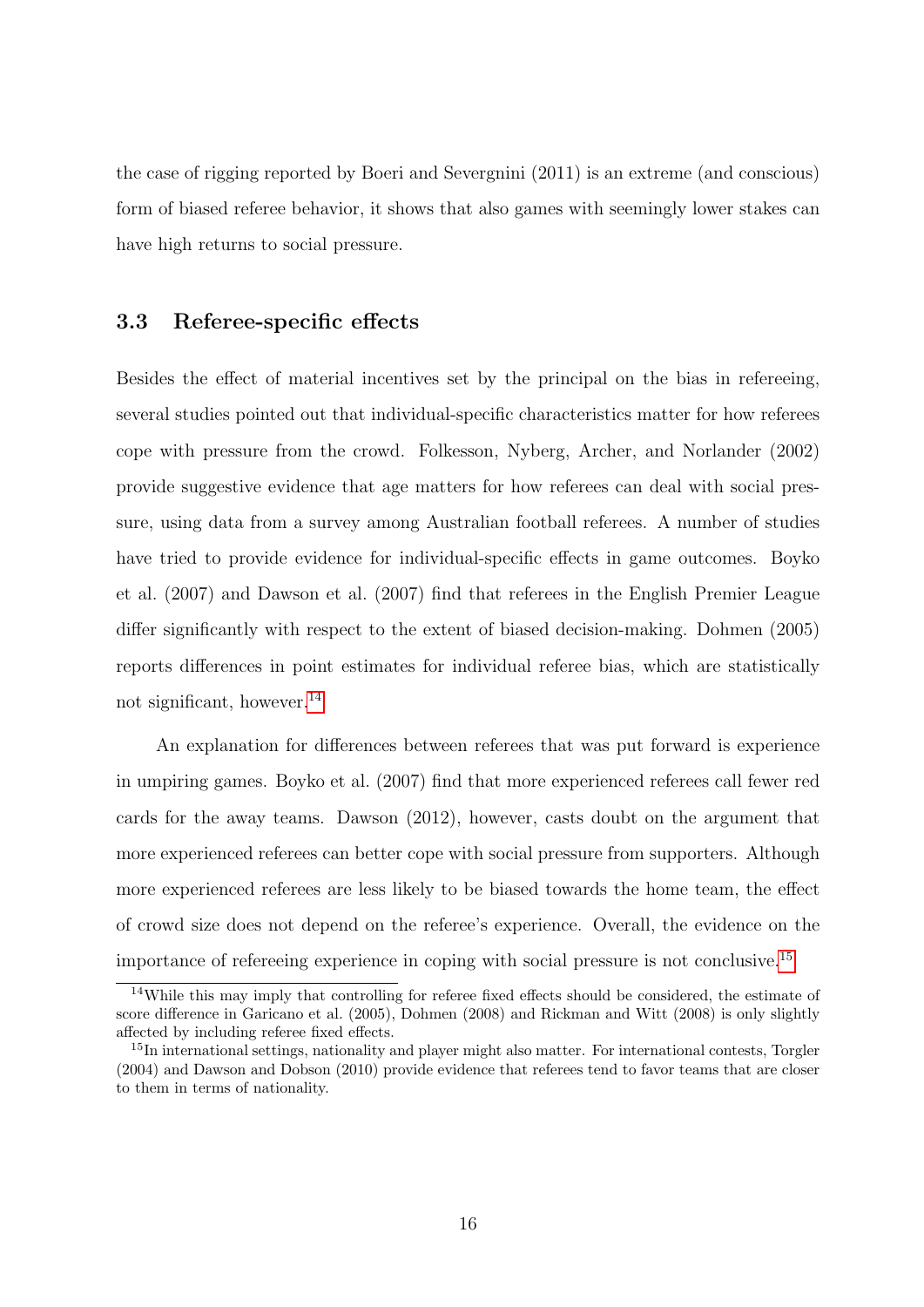the case of rigging reported by Boeri and Severgnini (2011) is an extreme (and conscious) form of biased referee behavior, it shows that also games with seemingly lower stakes can have high returns to social pressure.

#### 3.3 Referee-specific effects

Besides the effect of material incentives set by the principal on the bias in refereeing, several studies pointed out that individual-specific characteristics matter for how referees cope with pressure from the crowd. Folkesson, Nyberg, Archer, and Norlander (2002) provide suggestive evidence that age matters for how referees can deal with social pressure, using data from a survey among Australian football referees. A number of studies have tried to provide evidence for individual-specific effects in game outcomes. Boyko et al. (2007) and Dawson et al. (2007) find that referees in the English Premier League differ significantly with respect to the extent of biased decision-making. Dohmen (2005) reports differences in point estimates for individual referee bias, which are statistically not significant, however.[14](#page--1-0)

An explanation for differences between referees that was put forward is experience in umpiring games. Boyko et al. (2007) find that more experienced referees call fewer red cards for the away teams. Dawson (2012), however, casts doubt on the argument that more experienced referees can better cope with social pressure from supporters. Although more experienced referees are less likely to be biased towards the home team, the effect of crowd size does not depend on the referee's experience. Overall, the evidence on the importance of refereeing experience in coping with social pressure is not conclusive.[15](#page--1-0)

<sup>&</sup>lt;sup>14</sup>While this may imply that controlling for referee fixed effects should be considered, the estimate of score difference in Garicano et al. (2005), Dohmen (2008) and Rickman and Witt (2008) is only slightly affected by including referee fixed effects.

<sup>&</sup>lt;sup>15</sup>In international settings, nationality and player might also matter. For international contests, Torgler (2004) and Dawson and Dobson (2010) provide evidence that referees tend to favor teams that are closer to them in terms of nationality.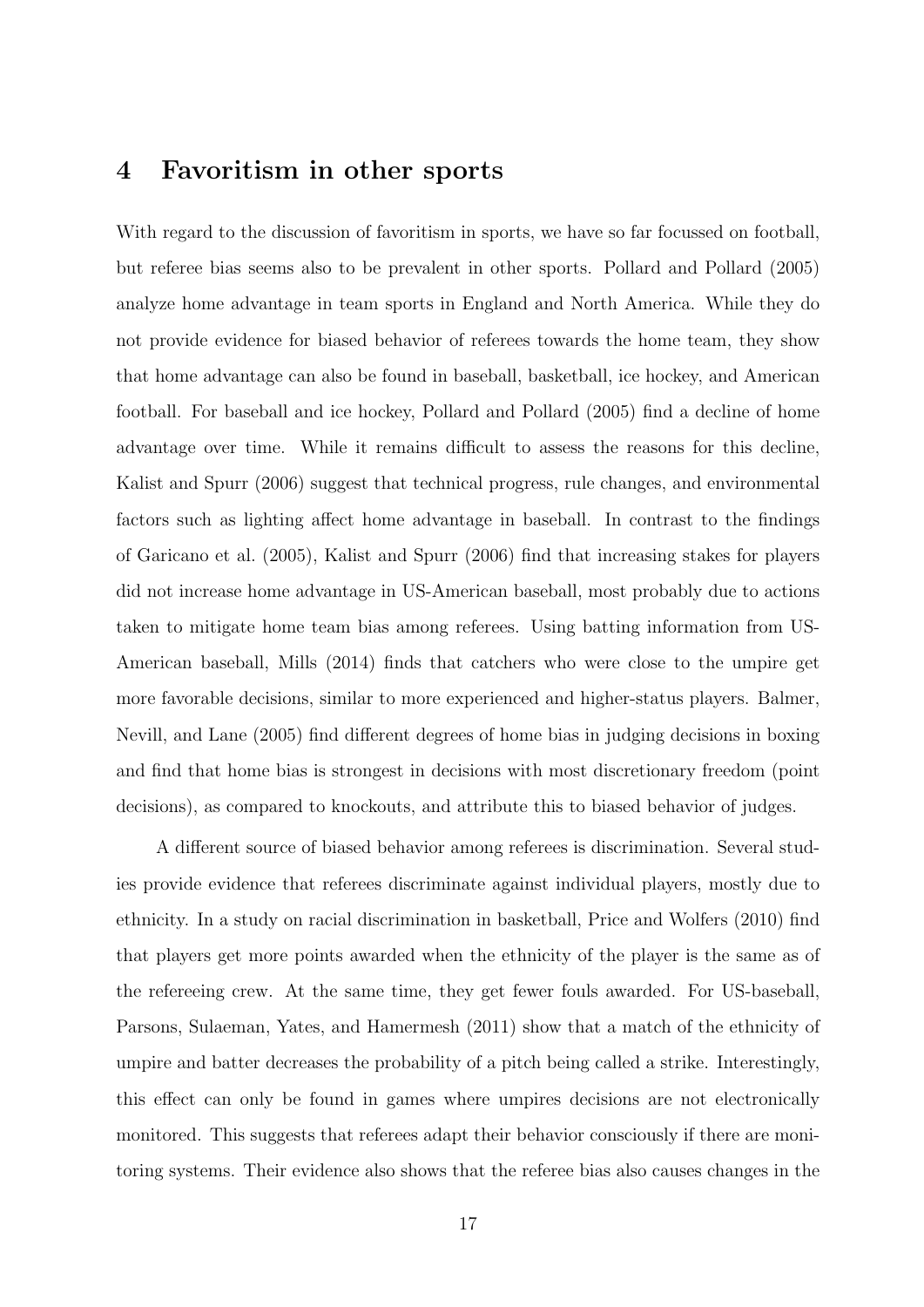### <span id="page-19-0"></span>4 Favoritism in other sports

With regard to the discussion of favoritism in sports, we have so far focussed on football, but referee bias seems also to be prevalent in other sports. Pollard and Pollard (2005) analyze home advantage in team sports in England and North America. While they do not provide evidence for biased behavior of referees towards the home team, they show that home advantage can also be found in baseball, basketball, ice hockey, and American football. For baseball and ice hockey, Pollard and Pollard (2005) find a decline of home advantage over time. While it remains difficult to assess the reasons for this decline, Kalist and Spurr (2006) suggest that technical progress, rule changes, and environmental factors such as lighting affect home advantage in baseball. In contrast to the findings of Garicano et al. (2005), Kalist and Spurr (2006) find that increasing stakes for players did not increase home advantage in US-American baseball, most probably due to actions taken to mitigate home team bias among referees. Using batting information from US-American baseball, Mills (2014) finds that catchers who were close to the umpire get more favorable decisions, similar to more experienced and higher-status players. Balmer, Nevill, and Lane (2005) find different degrees of home bias in judging decisions in boxing and find that home bias is strongest in decisions with most discretionary freedom (point decisions), as compared to knockouts, and attribute this to biased behavior of judges.

A different source of biased behavior among referees is discrimination. Several studies provide evidence that referees discriminate against individual players, mostly due to ethnicity. In a study on racial discrimination in basketball, Price and Wolfers (2010) find that players get more points awarded when the ethnicity of the player is the same as of the refereeing crew. At the same time, they get fewer fouls awarded. For US-baseball, Parsons, Sulaeman, Yates, and Hamermesh (2011) show that a match of the ethnicity of umpire and batter decreases the probability of a pitch being called a strike. Interestingly, this effect can only be found in games where umpires decisions are not electronically monitored. This suggests that referees adapt their behavior consciously if there are monitoring systems. Their evidence also shows that the referee bias also causes changes in the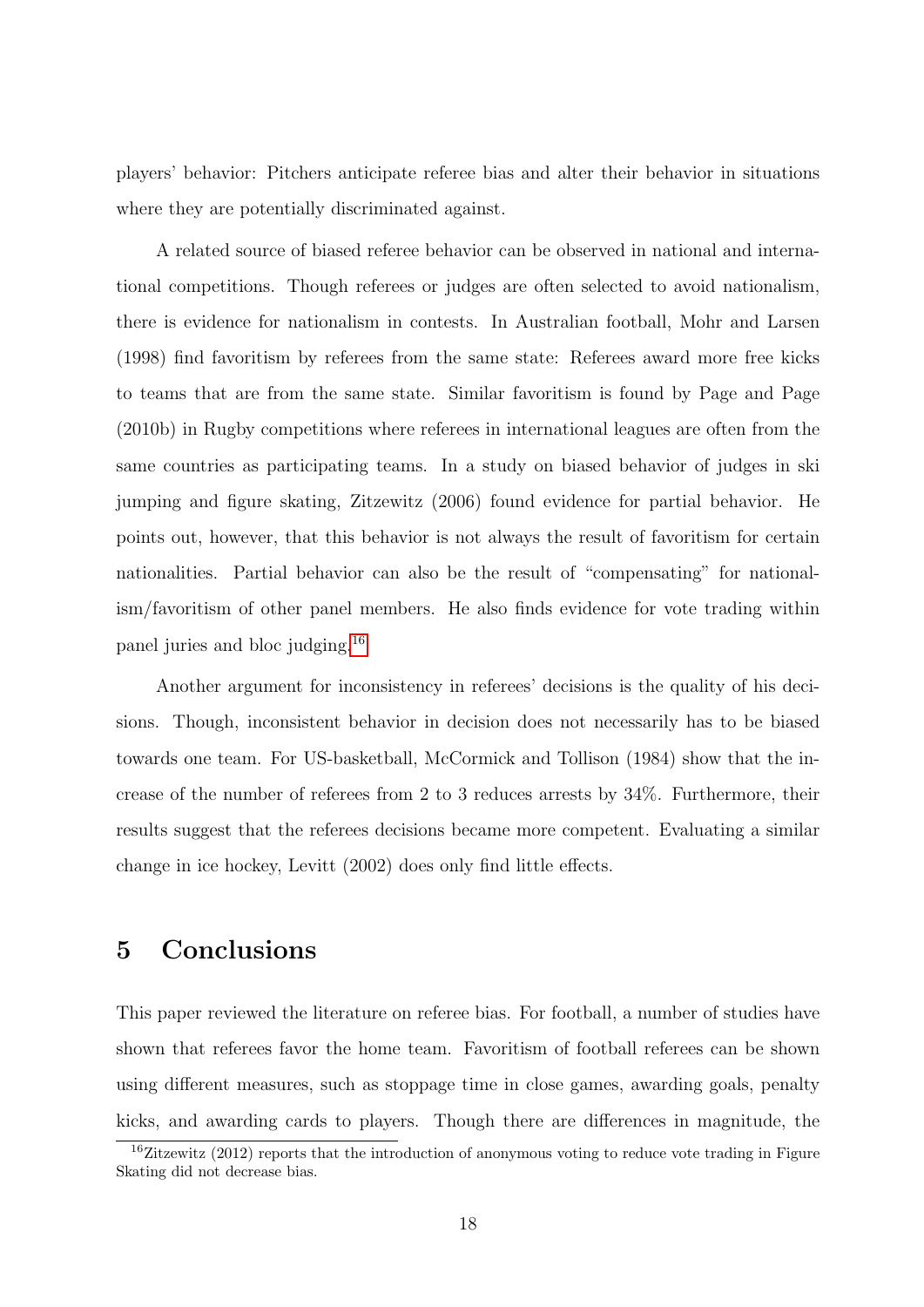players' behavior: Pitchers anticipate referee bias and alter their behavior in situations where they are potentially discriminated against.

A related source of biased referee behavior can be observed in national and international competitions. Though referees or judges are often selected to avoid nationalism, there is evidence for nationalism in contests. In Australian football, Mohr and Larsen (1998) find favoritism by referees from the same state: Referees award more free kicks to teams that are from the same state. Similar favoritism is found by Page and Page (2010b) in Rugby competitions where referees in international leagues are often from the same countries as participating teams. In a study on biased behavior of judges in ski jumping and figure skating, Zitzewitz (2006) found evidence for partial behavior. He points out, however, that this behavior is not always the result of favoritism for certain nationalities. Partial behavior can also be the result of "compensating" for nationalism/favoritism of other panel members. He also finds evidence for vote trading within panel juries and bloc judging.[16](#page--1-0)

Another argument for inconsistency in referees' decisions is the quality of his decisions. Though, inconsistent behavior in decision does not necessarily has to be biased towards one team. For US-basketball, McCormick and Tollison (1984) show that the increase of the number of referees from 2 to 3 reduces arrests by 34%. Furthermore, their results suggest that the referees decisions became more competent. Evaluating a similar change in ice hockey, Levitt (2002) does only find little effects.

### <span id="page-20-0"></span>5 Conclusions

This paper reviewed the literature on referee bias. For football, a number of studies have shown that referees favor the home team. Favoritism of football referees can be shown using different measures, such as stoppage time in close games, awarding goals, penalty kicks, and awarding cards to players. Though there are differences in magnitude, the

 $16\text{Zitzewitz}$  (2012) reports that the introduction of anonymous voting to reduce vote trading in Figure Skating did not decrease bias.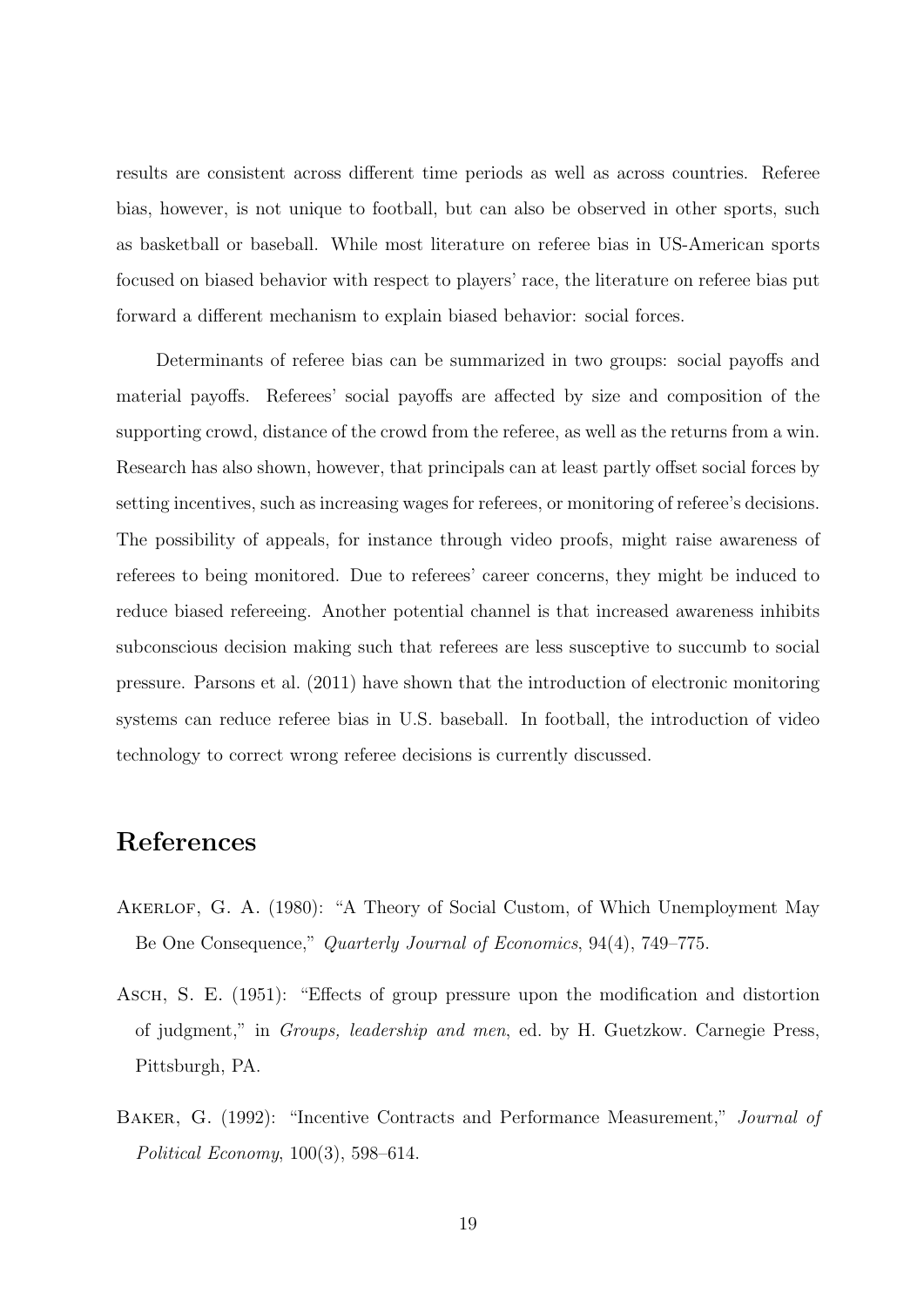results are consistent across different time periods as well as across countries. Referee bias, however, is not unique to football, but can also be observed in other sports, such as basketball or baseball. While most literature on referee bias in US-American sports focused on biased behavior with respect to players' race, the literature on referee bias put forward a different mechanism to explain biased behavior: social forces.

Determinants of referee bias can be summarized in two groups: social payoffs and material payoffs. Referees' social payoffs are affected by size and composition of the supporting crowd, distance of the crowd from the referee, as well as the returns from a win. Research has also shown, however, that principals can at least partly offset social forces by setting incentives, such as increasing wages for referees, or monitoring of referee's decisions. The possibility of appeals, for instance through video proofs, might raise awareness of referees to being monitored. Due to referees' career concerns, they might be induced to reduce biased refereeing. Another potential channel is that increased awareness inhibits subconscious decision making such that referees are less susceptive to succumb to social pressure. Parsons et al. (2011) have shown that the introduction of electronic monitoring systems can reduce referee bias in U.S. baseball. In football, the introduction of video technology to correct wrong referee decisions is currently discussed.

### References

- AKERLOF, G. A. (1980): "A Theory of Social Custom, of Which Unemployment May Be One Consequence," Quarterly Journal of Economics, 94(4), 749–775.
- Asch, S. E. (1951): "Effects of group pressure upon the modification and distortion of judgment," in Groups, leadership and men, ed. by H. Guetzkow. Carnegie Press, Pittsburgh, PA.
- Baker, G. (1992): "Incentive Contracts and Performance Measurement," Journal of Political Economy, 100(3), 598–614.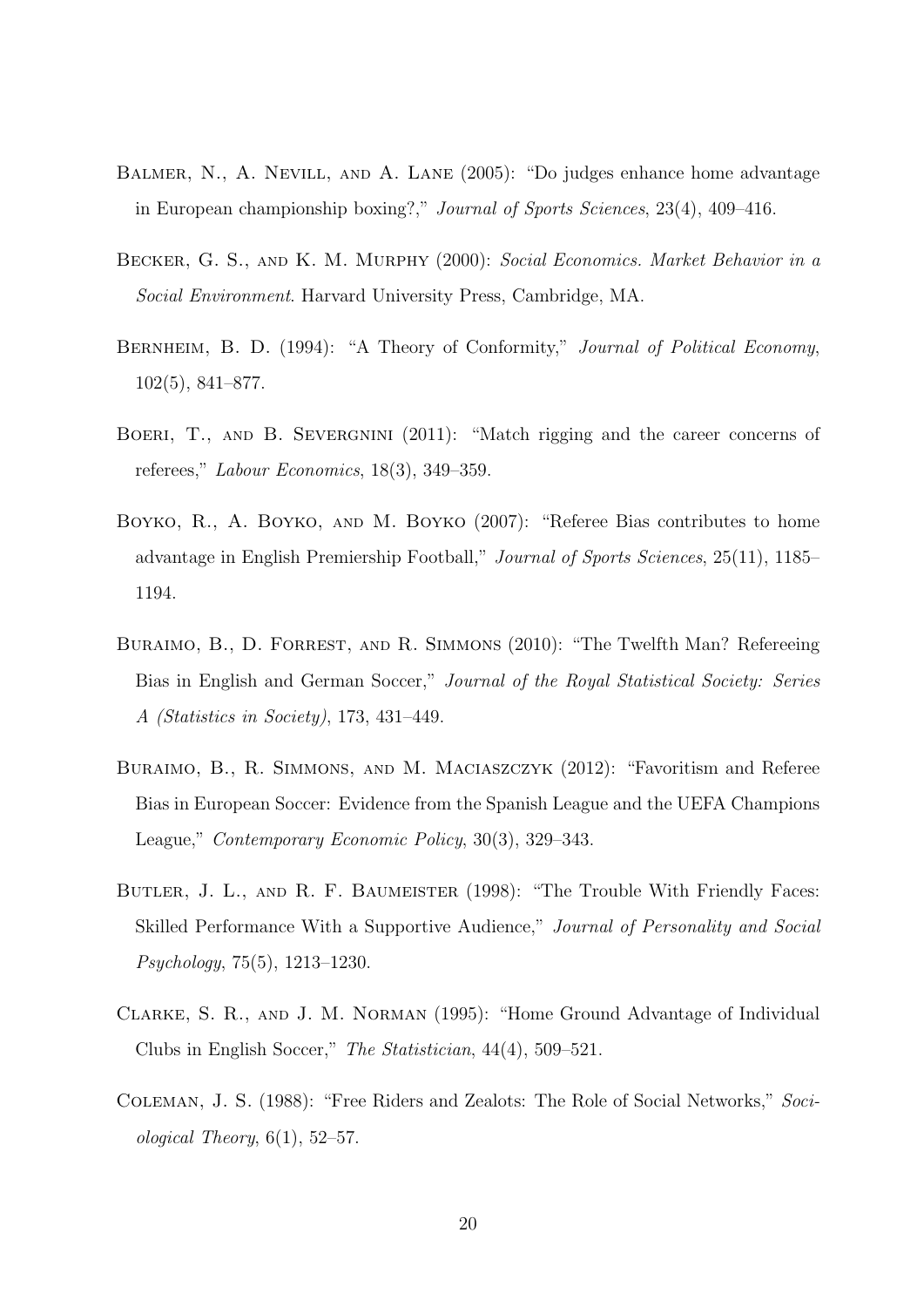- Balmer, N., A. Nevill, and A. Lane (2005): "Do judges enhance home advantage in European championship boxing?," Journal of Sports Sciences, 23(4), 409–416.
- Becker, G. S., and K. M. Murphy (2000): Social Economics. Market Behavior in a Social Environment. Harvard University Press, Cambridge, MA.
- BERNHEIM, B. D. (1994): "A Theory of Conformity," Journal of Political Economy, 102(5), 841–877.
- BOERI, T., AND B. SEVERGNINI (2011): "Match rigging and the career concerns of referees," Labour Economics, 18(3), 349–359.
- BOYKO, R., A. BOYKO, AND M. BOYKO (2007): "Referee Bias contributes to home advantage in English Premiership Football," Journal of Sports Sciences, 25(11), 1185– 1194.
- BURAIMO, B., D. FORREST, AND R. SIMMONS (2010): "The Twelfth Man? Refereeing Bias in English and German Soccer," Journal of the Royal Statistical Society: Series A (Statistics in Society), 173, 431–449.
- Buraimo, B., R. Simmons, and M. Maciaszczyk (2012): "Favoritism and Referee Bias in European Soccer: Evidence from the Spanish League and the UEFA Champions League," Contemporary Economic Policy, 30(3), 329–343.
- Butler, J. L., and R. F. Baumeister (1998): "The Trouble With Friendly Faces: Skilled Performance With a Supportive Audience," Journal of Personality and Social Psychology, 75(5), 1213–1230.
- Clarke, S. R., and J. M. Norman (1995): "Home Ground Advantage of Individual Clubs in English Soccer," The Statistician, 44(4), 509–521.
- Coleman, J. S. (1988): "Free Riders and Zealots: The Role of Social Networks," Sociological Theory,  $6(1)$ ,  $52-57$ .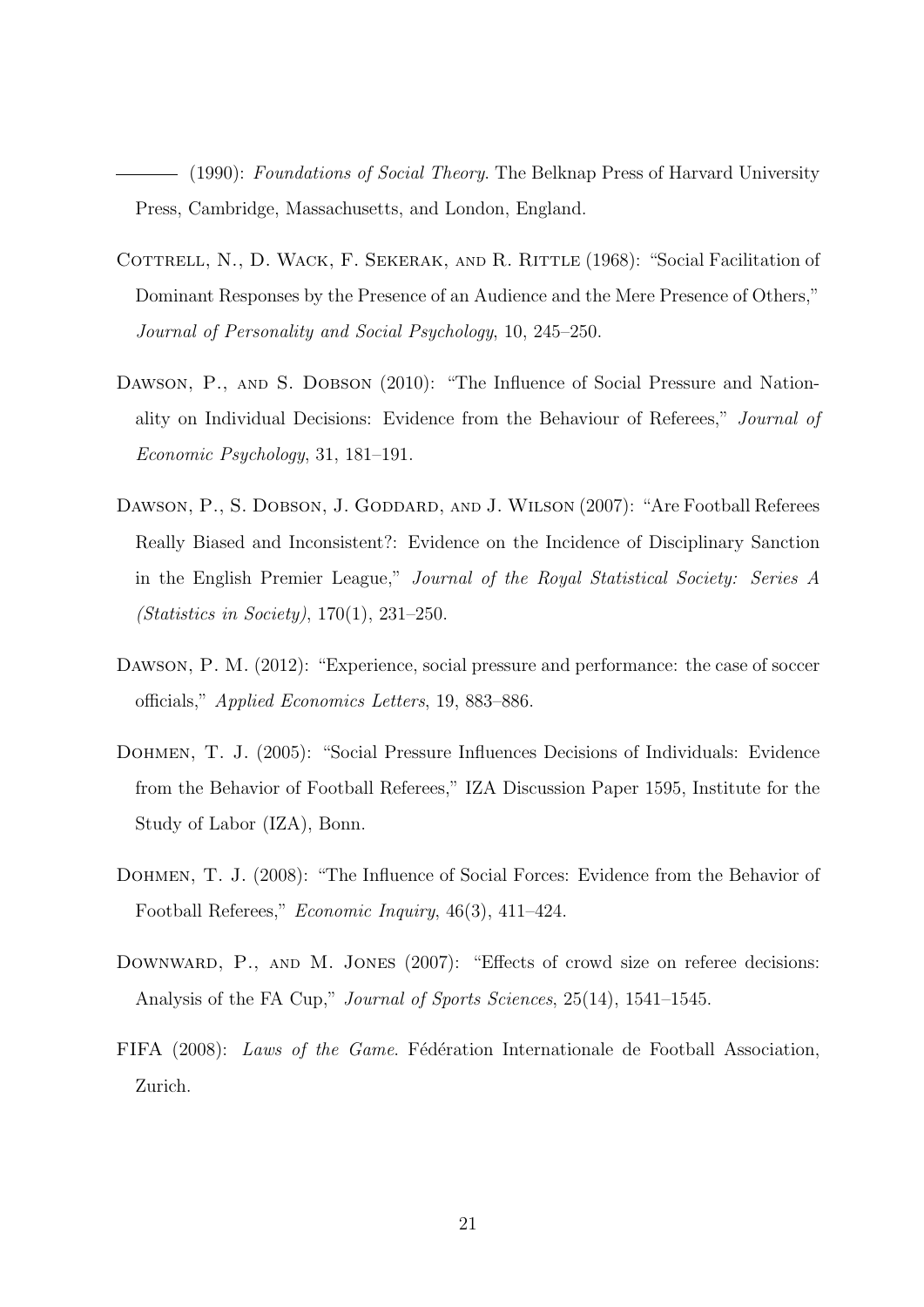(1990): Foundations of Social Theory. The Belknap Press of Harvard University Press, Cambridge, Massachusetts, and London, England.

- COTTRELL, N., D. WACK, F. SEKERAK, AND R. RITTLE (1968): "Social Facilitation of Dominant Responses by the Presence of an Audience and the Mere Presence of Others," Journal of Personality and Social Psychology, 10, 245–250.
- DAWSON, P., AND S. DOBSON (2010): "The Influence of Social Pressure and Nationality on Individual Decisions: Evidence from the Behaviour of Referees," Journal of Economic Psychology, 31, 181–191.
- DAWSON, P., S. DOBSON, J. GODDARD, AND J. WILSON (2007): "Are Football Referees Really Biased and Inconsistent?: Evidence on the Incidence of Disciplinary Sanction in the English Premier League," Journal of the Royal Statistical Society: Series A (Statistics in Society), 170(1), 231–250.
- Dawson, P. M. (2012): "Experience, social pressure and performance: the case of soccer officials," Applied Economics Letters, 19, 883–886.
- Dohmen, T. J. (2005): "Social Pressure Influences Decisions of Individuals: Evidence from the Behavior of Football Referees," IZA Discussion Paper 1595, Institute for the Study of Labor (IZA), Bonn.
- Dohmen, T. J. (2008): "The Influence of Social Forces: Evidence from the Behavior of Football Referees," Economic Inquiry, 46(3), 411–424.
- DOWNWARD, P., AND M. JONES (2007): "Effects of crowd size on referee decisions: Analysis of the FA Cup," Journal of Sports Sciences, 25(14), 1541–1545.
- FIFA (2008): Laws of the Game. Fédération Internationale de Football Association, Zurich.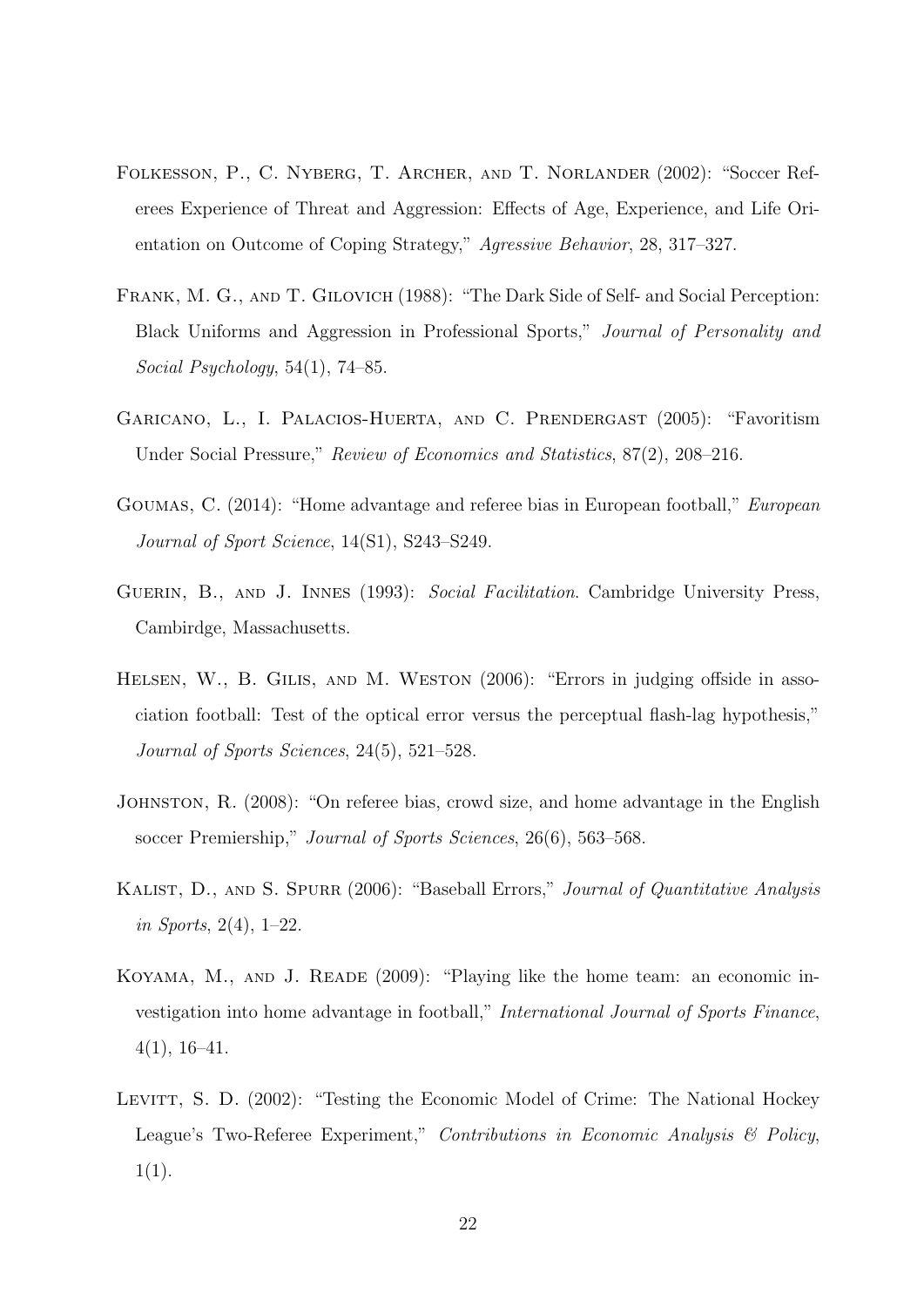- Folkesson, P., C. Nyberg, T. Archer, and T. Norlander (2002): "Soccer Referees Experience of Threat and Aggression: Effects of Age, Experience, and Life Orientation on Outcome of Coping Strategy," Agressive Behavior, 28, 317–327.
- Frank, M. G., and T. Gilovich (1988): "The Dark Side of Self- and Social Perception: Black Uniforms and Aggression in Professional Sports," Journal of Personality and Social Psychology, 54(1), 74–85.
- Garicano, L., I. Palacios-Huerta, and C. Prendergast (2005): "Favoritism Under Social Pressure," Review of Economics and Statistics, 87(2), 208–216.
- Goumas, C. (2014): "Home advantage and referee bias in European football," European Journal of Sport Science, 14(S1), S243–S249.
- GUERIN, B., AND J. INNES (1993): Social Facilitation. Cambridge University Press, Cambirdge, Massachusetts.
- HELSEN, W., B. GILIS, AND M. WESTON (2006): "Errors in judging offside in association football: Test of the optical error versus the perceptual flash-lag hypothesis," Journal of Sports Sciences, 24(5), 521–528.
- Johnston, R. (2008): "On referee bias, crowd size, and home advantage in the English soccer Premiership," Journal of Sports Sciences, 26(6), 563–568.
- KALIST, D., AND S. SPURR (2006): "Baseball Errors," Journal of Quantitative Analysis in Sports, 2(4), 1–22.
- KOYAMA, M., AND J. READE (2009): "Playing like the home team: an economic investigation into home advantage in football," International Journal of Sports Finance,  $4(1), 16-41.$
- LEVITT, S. D. (2002): "Testing the Economic Model of Crime: The National Hockey League's Two-Referee Experiment," Contributions in Economic Analysis & Policy,  $1(1).$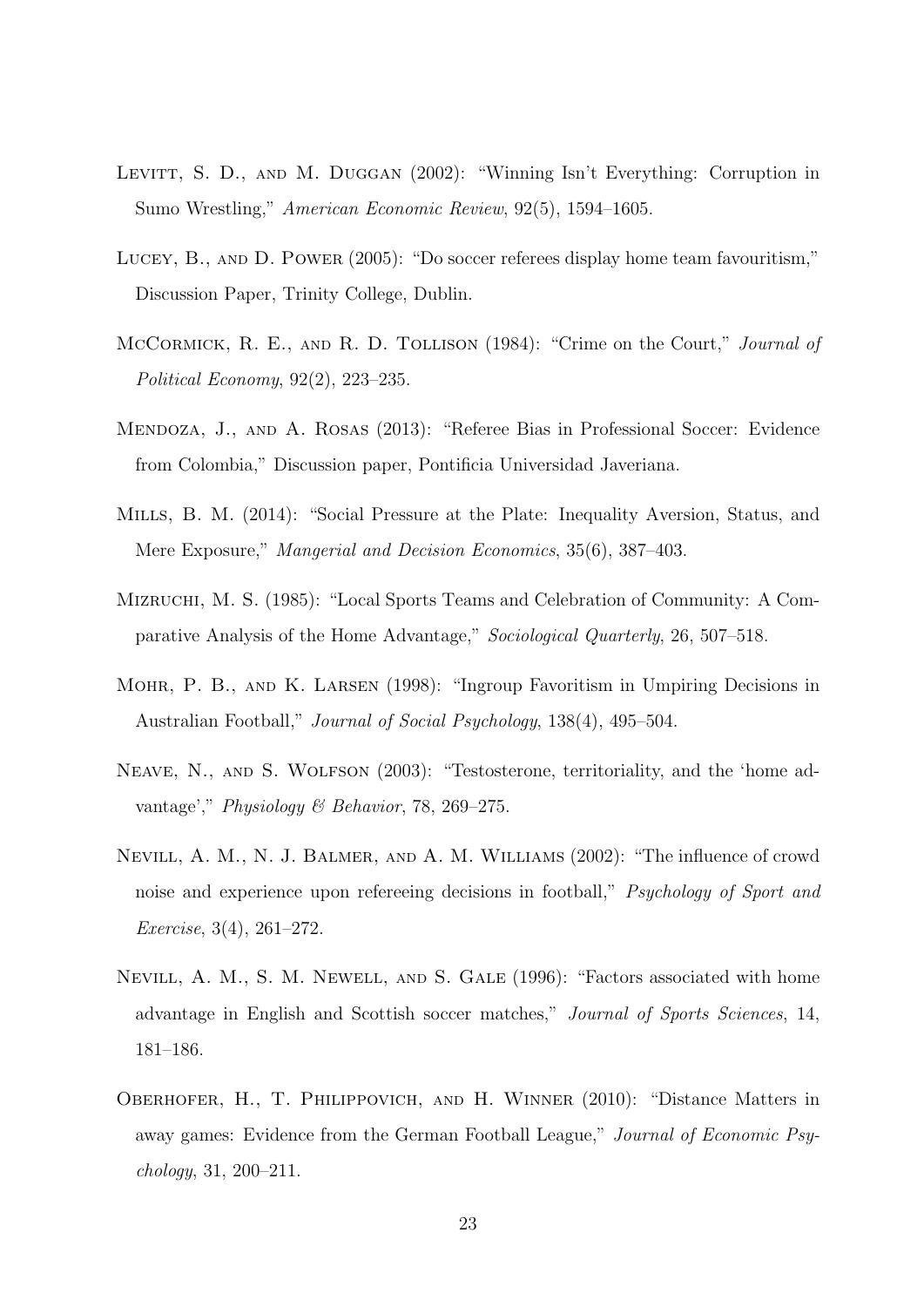- LEVITT, S. D., AND M. DUGGAN (2002): "Winning Isn't Everything: Corruption in Sumo Wrestling," American Economic Review, 92(5), 1594–1605.
- Lucey, B., and D. Power (2005): "Do soccer referees display home team favouritism," Discussion Paper, Trinity College, Dublin.
- McCormick, R. E., and R. D. Tollison (1984): "Crime on the Court," Journal of Political Economy, 92(2), 223–235.
- Mendoza, J., and A. Rosas (2013): "Referee Bias in Professional Soccer: Evidence from Colombia," Discussion paper, Pontificia Universidad Javeriana.
- Mills, B. M. (2014): "Social Pressure at the Plate: Inequality Aversion, Status, and Mere Exposure," Mangerial and Decision Economics, 35(6), 387–403.
- MIZRUCHI, M. S. (1985): "Local Sports Teams and Celebration of Community: A Comparative Analysis of the Home Advantage," Sociological Quarterly, 26, 507–518.
- Mohr, P. B., and K. Larsen (1998): "Ingroup Favoritism in Umpiring Decisions in Australian Football," Journal of Social Psychology, 138(4), 495–504.
- Neave, N., and S. Wolfson (2003): "Testosterone, territoriality, and the 'home advantage'," Physiology & Behavior, 78, 269–275.
- Nevill, A. M., N. J. Balmer, and A. M. Williams (2002): "The influence of crowd noise and experience upon refereeing decisions in football," *Psychology of Sport and* Exercise, 3(4), 261–272.
- Nevill, A. M., S. M. Newell, and S. Gale (1996): "Factors associated with home advantage in English and Scottish soccer matches," Journal of Sports Sciences, 14, 181–186.
- Oberhofer, H., T. Philippovich, and H. Winner (2010): "Distance Matters in away games: Evidence from the German Football League," Journal of Economic Psychology, 31, 200–211.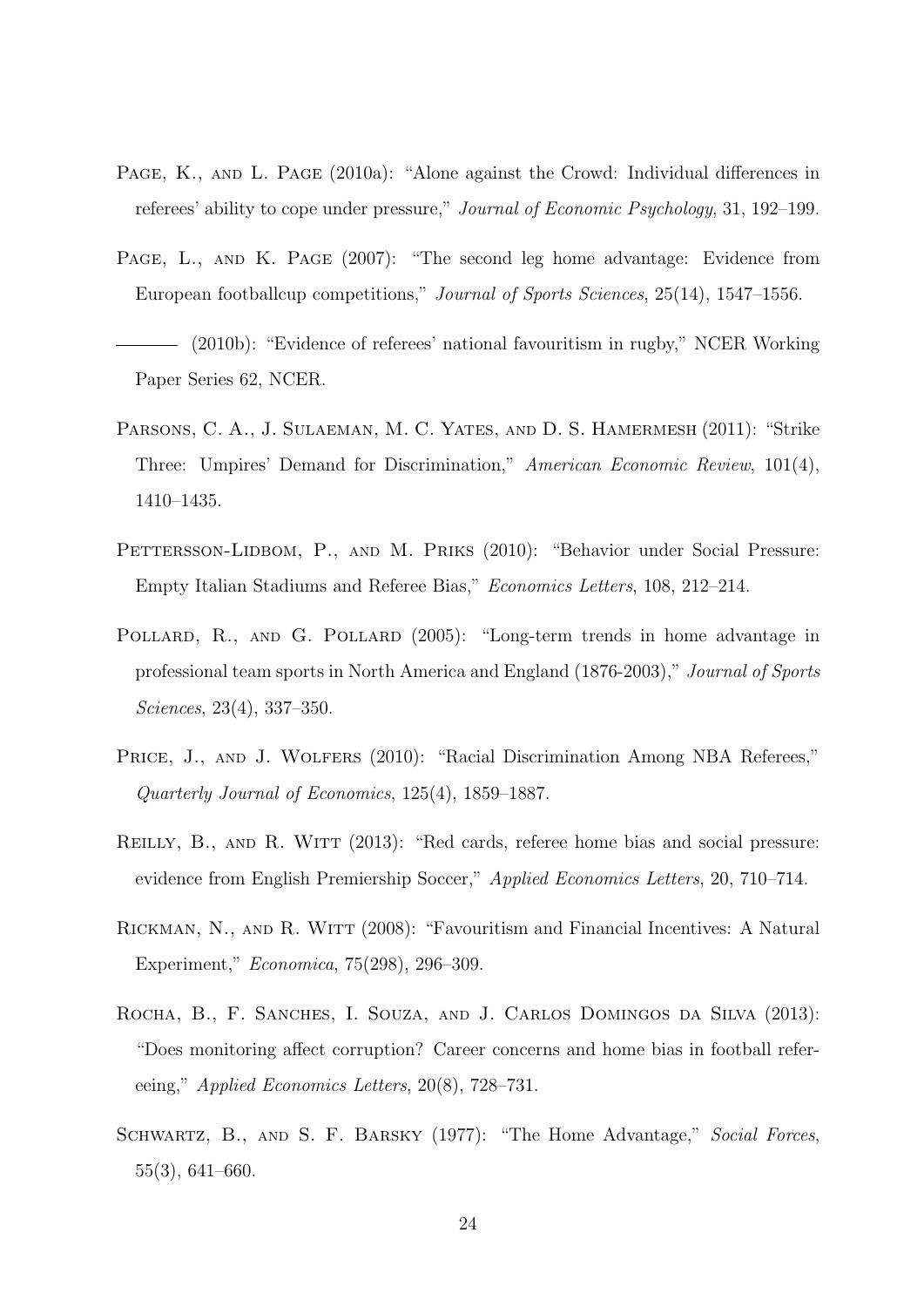- PAGE, K., AND L. PAGE (2010a): "Alone against the Crowd: Individual differences in referees' ability to cope under pressure," Journal of Economic Psychology, 31, 192–199.
- PAGE, L., AND K. PAGE (2007): "The second leg home advantage: Evidence from European footballcup competitions," Journal of Sports Sciences, 25(14), 1547–1556.
- (2010b): "Evidence of referees' national favouritism in rugby," NCER Working Paper Series 62, NCER.
- PARSONS, C. A., J. SULAEMAN, M. C. YATES, AND D. S. HAMERMESH (2011): "Strike Three: Umpires' Demand for Discrimination," American Economic Review, 101(4), 1410–1435.
- PETTERSSON-LIDBOM, P., AND M. PRIKS (2010): "Behavior under Social Pressure: Empty Italian Stadiums and Referee Bias," Economics Letters, 108, 212–214.
- POLLARD, R., AND G. POLLARD (2005): "Long-term trends in home advantage in professional team sports in North America and England (1876-2003)," Journal of Sports Sciences, 23(4), 337–350.
- PRICE, J., AND J. WOLFERS (2010): "Racial Discrimination Among NBA Referees," Quarterly Journal of Economics, 125(4), 1859–1887.
- REILLY, B., AND R. WITT (2013): "Red cards, referee home bias and social pressure: evidence from English Premiership Soccer," Applied Economics Letters, 20, 710–714.
- RICKMAN, N., AND R. WITT (2008): "Favouritism and Financial Incentives: A Natural Experiment," Economica, 75(298), 296–309.
- ROCHA, B., F. SANCHES, I. SOUZA, AND J. CARLOS DOMINGOS DA SILVA (2013): "Does monitoring affect corruption? Career concerns and home bias in football refereeing," Applied Economics Letters, 20(8), 728–731.
- SCHWARTZ, B., AND S. F. BARSKY (1977): "The Home Advantage," Social Forces, 55(3), 641–660.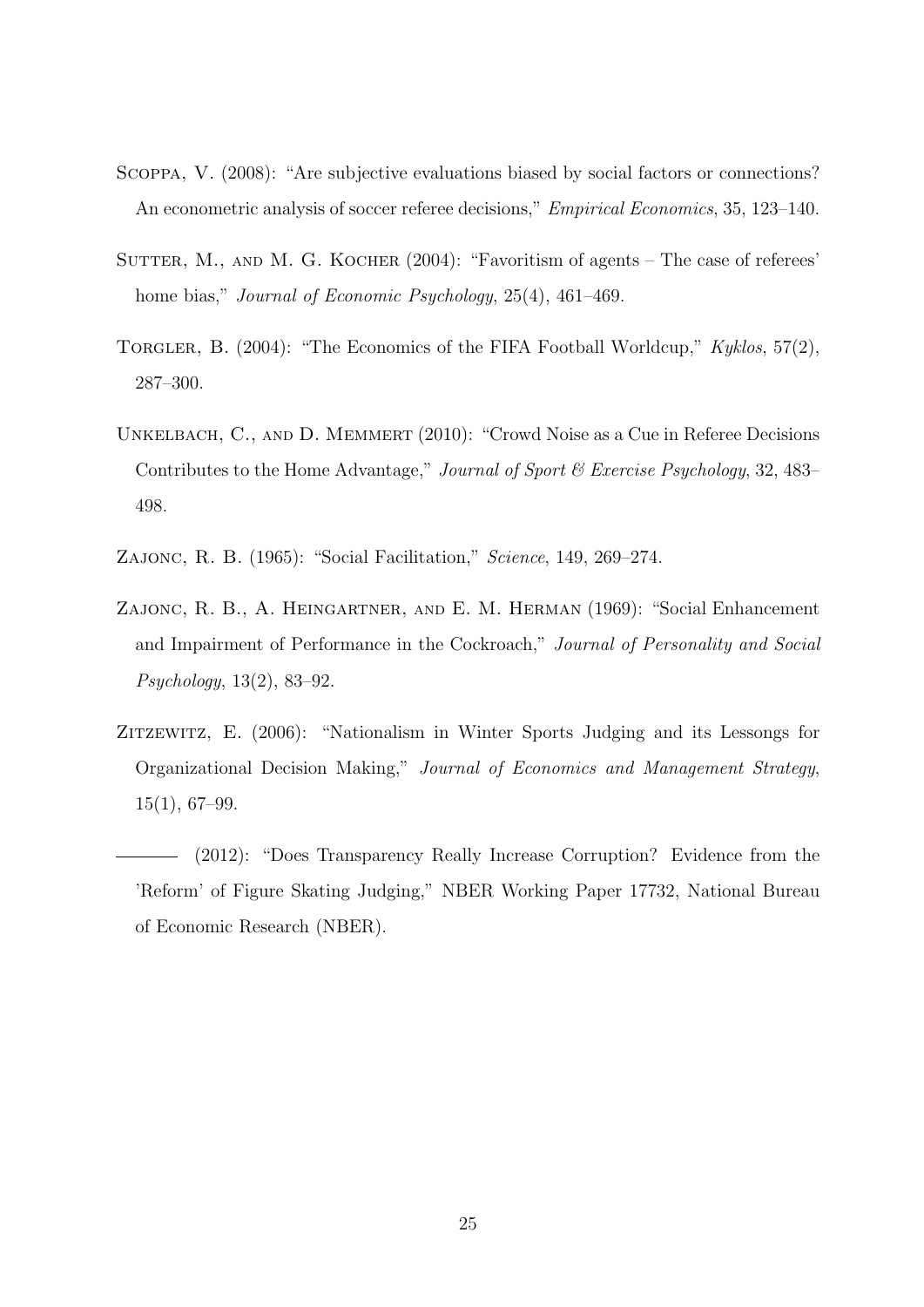- Scoppa, V. (2008): "Are subjective evaluations biased by social factors or connections? An econometric analysis of soccer referee decisions," *Empirical Economics*, 35, 123–140.
- SUTTER, M., AND M. G. KOCHER (2004): "Favoritism of agents The case of referees' home bias," *Journal of Economic Psychology*, 25(4), 461–469.
- TORGLER, B. (2004): "The Economics of the FIFA Football Worldcup," Kyklos, 57(2), 287–300.
- UNKELBACH, C., AND D. MEMMERT (2010): "Crowd Noise as a Cue in Referee Decisions Contributes to the Home Advantage," Journal of Sport & Exercise Psychology, 32, 483– 498.
- Zajonc, R. B. (1965): "Social Facilitation," Science, 149, 269–274.
- ZAJONC, R. B., A. HEINGARTNER, AND E. M. HERMAN (1969): "Social Enhancement and Impairment of Performance in the Cockroach," Journal of Personality and Social Psychology, 13(2), 83–92.
- ZITZEWITZ, E. (2006): "Nationalism in Winter Sports Judging and its Lessongs for Organizational Decision Making," Journal of Economics and Management Strategy, 15(1), 67–99.
- (2012): "Does Transparency Really Increase Corruption? Evidence from the 'Reform' of Figure Skating Judging," NBER Working Paper 17732, National Bureau of Economic Research (NBER).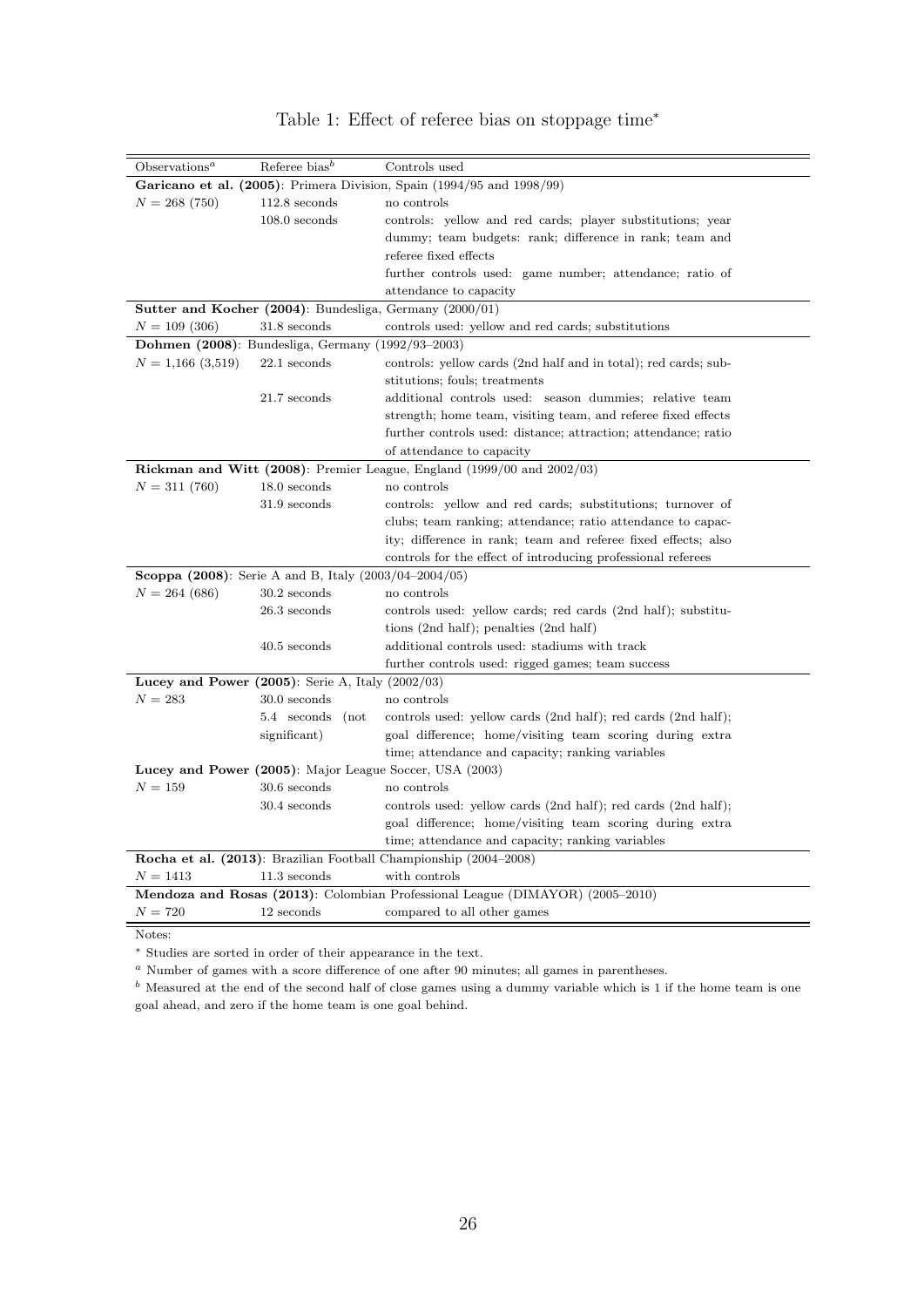<span id="page-28-0"></span>

| O <sub>observations</sub> <sup>a</sup>                                        | Referee bias <sup>b</sup>                                       | Controls used                                                                     |  |  |
|-------------------------------------------------------------------------------|-----------------------------------------------------------------|-----------------------------------------------------------------------------------|--|--|
|                                                                               |                                                                 | Garicano et al. (2005): Primera Division, Spain (1994/95 and 1998/99)             |  |  |
| $N = 268(750)$                                                                | $112.8$ seconds                                                 | no controls                                                                       |  |  |
|                                                                               | $108.0$ seconds                                                 | controls: yellow and red cards; player substitutions; year                        |  |  |
|                                                                               |                                                                 | dummy; team budgets: rank; difference in rank; team and                           |  |  |
|                                                                               |                                                                 | referee fixed effects                                                             |  |  |
|                                                                               |                                                                 | further controls used: game number; attendance; ratio of                          |  |  |
|                                                                               |                                                                 | attendance to capacity                                                            |  |  |
| <b>Sutter and Kocher (2004)</b> : Bundesliga, Germany $(2000/01)$             |                                                                 |                                                                                   |  |  |
| $N = 109(306)$                                                                | 31.8 seconds                                                    | controls used: yellow and red cards; substitutions                                |  |  |
| <b>Dohmen (2008)</b> : Bundesliga, Germany (1992/93–2003)                     |                                                                 |                                                                                   |  |  |
| $N = 1,166(3,519)$                                                            | $22.1$ seconds                                                  | controls: yellow cards (2nd half and in total); red cards; sub-                   |  |  |
|                                                                               |                                                                 | stitutions; fouls; treatments                                                     |  |  |
|                                                                               | 21.7 seconds                                                    | additional controls used: season dummies, relative team                           |  |  |
|                                                                               |                                                                 | strength; home team, visiting team, and referee fixed effects                     |  |  |
|                                                                               |                                                                 | further controls used: distance; attraction; attendance; ratio                    |  |  |
|                                                                               |                                                                 | of attendance to capacity                                                         |  |  |
|                                                                               |                                                                 | <b>Rickman and Witt (2008)</b> : Premier League, England (1999/00 and $2002/03$ ) |  |  |
| $N = 311(760)$                                                                | $18.0$ seconds                                                  | no controls                                                                       |  |  |
|                                                                               | $31.9$ seconds                                                  | controls: yellow and red cards; substitutions; turnover of                        |  |  |
|                                                                               |                                                                 | clubs; team ranking; attendance; ratio attendance to capac-                       |  |  |
|                                                                               |                                                                 | ity; difference in rank; team and referee fixed effects; also                     |  |  |
|                                                                               |                                                                 | controls for the effect of introducing professional referees                      |  |  |
|                                                                               | <b>Scoppa (2008)</b> : Serie A and B, Italy $(2003/04-2004/05)$ |                                                                                   |  |  |
| $N = 264(686)$                                                                | $30.2$ seconds                                                  | no controls                                                                       |  |  |
|                                                                               | $26.3$ seconds                                                  | controls used: yellow cards; red cards (2nd half); substitu-                      |  |  |
|                                                                               |                                                                 | tions $(2nd half)$ ; penalties $(2nd half)$                                       |  |  |
|                                                                               | $40.5$ seconds                                                  | additional controls used: stadiums with track                                     |  |  |
|                                                                               |                                                                 | further controls used: rigged games; team success                                 |  |  |
|                                                                               | Lucey and Power $(2005)$ : Serie A, Italy $(2002/03)$           |                                                                                   |  |  |
| $N = 283$                                                                     | $30.0$ seconds                                                  | no controls                                                                       |  |  |
|                                                                               | 5.4 seconds (not                                                | controls used: yellow cards (2nd half); red cards (2nd half);                     |  |  |
|                                                                               | significant)                                                    | goal difference; home/visiting team scoring during extra                          |  |  |
|                                                                               |                                                                 | time; attendance and capacity; ranking variables                                  |  |  |
|                                                                               |                                                                 | Lucey and Power (2005): Major League Soccer, USA (2003)                           |  |  |
| $N = 159$                                                                     | $30.6$ seconds                                                  | no controls                                                                       |  |  |
|                                                                               | 30.4 seconds                                                    | controls used: yellow cards (2nd half); red cards (2nd half);                     |  |  |
|                                                                               |                                                                 | goal difference; home/visiting team scoring during extra                          |  |  |
|                                                                               |                                                                 | time; attendance and capacity; ranking variables                                  |  |  |
|                                                                               |                                                                 | Rocha et al. (2013): Brazilian Football Championship (2004–2008)                  |  |  |
| $N = 1413$                                                                    | $11.3$ seconds                                                  | with controls                                                                     |  |  |
| Mendoza and Rosas (2013): Colombian Professional League (DIMAYOR) (2005–2010) |                                                                 |                                                                                   |  |  |
| $N = 720$                                                                     | 12 seconds                                                      | compared to all other games                                                       |  |  |

### Table 1: Effect of referee bias on stoppage time<sup>∗</sup>

Notes:

<sup>∗</sup> Studies are sorted in order of their appearance in the text.

<sup>a</sup> Number of games with a score difference of one after 90 minutes; all games in parentheses.

 $<sup>b</sup>$  Measured at the end of the second half of close games using a dummy variable which is 1 if the home team is one</sup> goal ahead, and zero if the home team is one goal behind.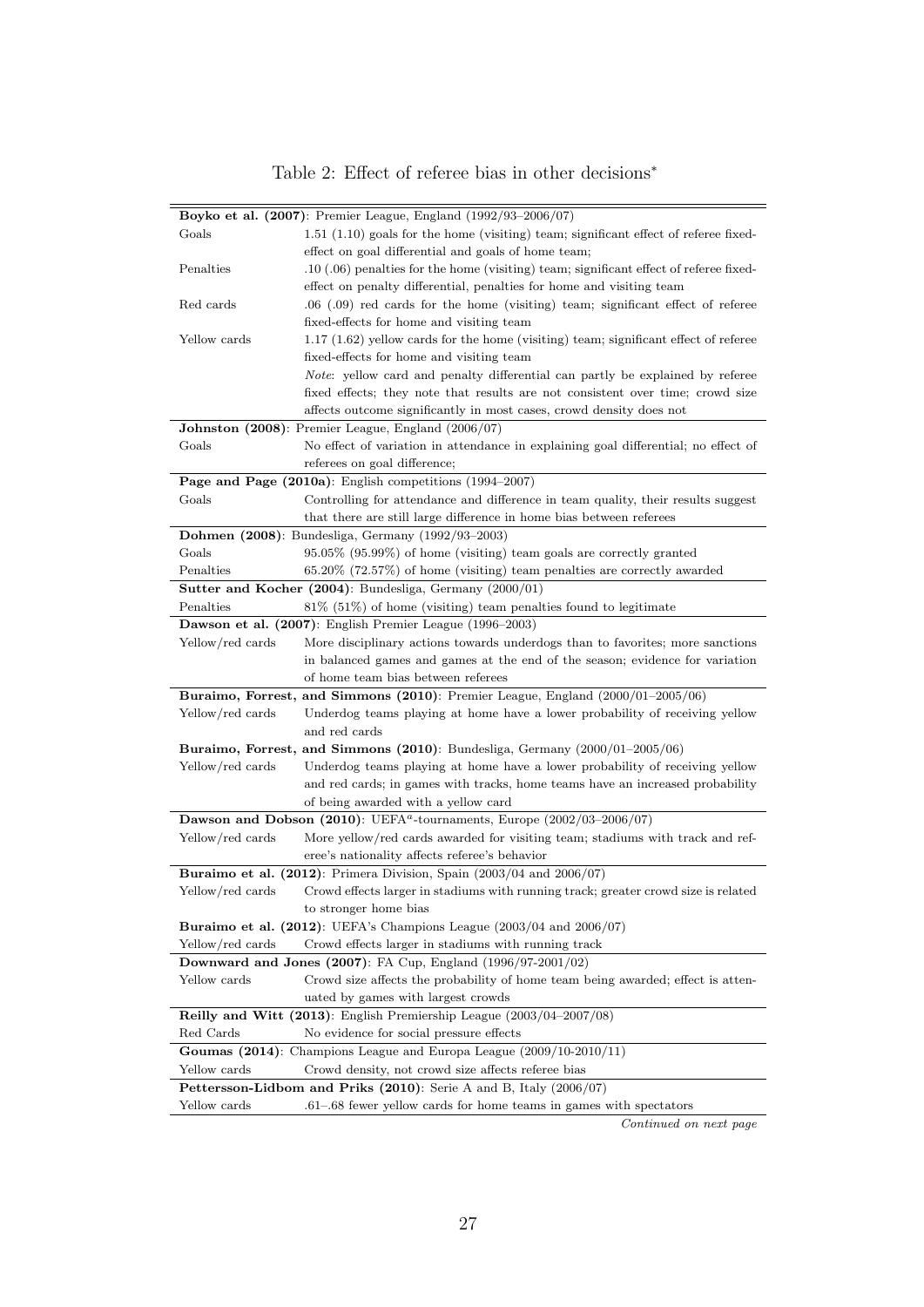### Table 2: Effect of referee bias in other decisions<sup>∗</sup>

<span id="page-29-0"></span>

|                                                                              | Boyko et al. $(2007)$ : Premier League, England $(1992/93-2006/07)$                      |  |  |
|------------------------------------------------------------------------------|------------------------------------------------------------------------------------------|--|--|
| Goals                                                                        | $1.51$ $(1.10)$ goals for the home (visiting) team; significant effect of referee fixed- |  |  |
|                                                                              | effect on goal differential and goals of home team;                                      |  |  |
| Penalties                                                                    | $.10$ (.06) penalties for the home (visiting) team; significant effect of referee fixed- |  |  |
|                                                                              | effect on penalty differential, penalties for home and visiting team                     |  |  |
| Red cards                                                                    | $.06$ ( $.09$ ) red cards for the home (visiting) team; significant effect of referee    |  |  |
|                                                                              | fixed-effects for home and visiting team                                                 |  |  |
| Yellow cards                                                                 | $1.17$ (1.62) yellow cards for the home (visiting) team; significant effect of referee   |  |  |
|                                                                              | fixed-effects for home and visiting team                                                 |  |  |
|                                                                              | <i>Note:</i> yellow card and penalty differential can partly be explained by referee     |  |  |
|                                                                              | fixed effects; they note that results are not consistent over time; crowd size           |  |  |
|                                                                              | affects outcome significantly in most cases, crowd density does not                      |  |  |
|                                                                              | <b>Johnston (2008)</b> : Premier League, England (2006/07)                               |  |  |
| Goals                                                                        | No effect of variation in attendance in explaining goal differential; no effect of       |  |  |
|                                                                              | referees on goal difference;                                                             |  |  |
|                                                                              | Page and Page $(2010a)$ : English competitions $(1994-2007)$                             |  |  |
| Goals                                                                        | Controlling for attendance and difference in team quality, their results suggest         |  |  |
|                                                                              | that there are still large difference in home bias between referees                      |  |  |
|                                                                              | <b>Dohmen</b> (2008): Bundesliga, Germany $(1992/93-2003)$                               |  |  |
| Goals                                                                        | $95.05\%$ (95.99%) of home (visiting) team goals are correctly granted                   |  |  |
| Penalties                                                                    | $65.20\%$ (72.57%) of home (visiting) team penalties are correctly awarded               |  |  |
|                                                                              | Sutter and Kocher (2004): Bundesliga, Germany (2000/01)                                  |  |  |
| Penalties                                                                    | $81\%$ (51%) of home (visiting) team penalties found to legitimate                       |  |  |
|                                                                              | Dawson et al. (2007): English Premier League (1996–2003)                                 |  |  |
|                                                                              | More disciplinary actions towards underdogs than to favorities; more sanctions           |  |  |
| Yellow/red cards                                                             |                                                                                          |  |  |
|                                                                              | in balanced games and games at the end of the season; evidence for variation             |  |  |
|                                                                              | of home team bias between referees                                                       |  |  |
|                                                                              | Buraimo, Forrest, and Simmons $(2010)$ : Premier League, England $(2000/01-2005/06)$     |  |  |
| Yellow/red cards                                                             | Underdog teams playing at home have a lower probability of receiving yellow              |  |  |
|                                                                              | and red cards                                                                            |  |  |
|                                                                              | <b>Buraimo, Forrest, and Simmons (2010)</b> : Bundesliga, Germany $(2000/01-2005/06)$    |  |  |
| Yellow/red cards                                                             | Underdog teams playing at home have a lower probability of receiving yellow              |  |  |
|                                                                              | and red cards; in games with tracks, home teams have an increased probability            |  |  |
|                                                                              | of being awarded with a yellow card                                                      |  |  |
|                                                                              | Dawson and Dobson (2010): UEFA <sup>a</sup> -tournaments, Europe (2002/03-2006/07)       |  |  |
| Yellow/red cards                                                             | More yellow/red cards awarded for visiting team; stadiums with track and ref-            |  |  |
|                                                                              | eree's nationality affects referee's behavior                                            |  |  |
|                                                                              | Buraimo et al. $(2012)$ : Primera Division, Spain $(2003/04$ and $2006/07)$              |  |  |
| Yellow/red cards                                                             | Crowd effects larger in stadiums with running track; greater crowd size is related       |  |  |
|                                                                              | to stronger home bias                                                                    |  |  |
|                                                                              | Buraimo et al. $(2012)$ : UEFA's Champions League $(2003/04$ and $2006/07)$              |  |  |
| Yellow/red cards                                                             | Crowd effects larger in stadiums with running track                                      |  |  |
| Downward and Jones (2007): FA Cup, England $(1996/97-2001/02)$               |                                                                                          |  |  |
| Yellow cards                                                                 | Crowd size affects the probability of home team being awarded; effect is atten-          |  |  |
|                                                                              | uated by games with largest crowds                                                       |  |  |
| Reilly and Witt $(2013)$ : English Premiership League $(2003/04-2007/08)$    |                                                                                          |  |  |
| Red Cards<br>No evidence for social pressure effects                         |                                                                                          |  |  |
|                                                                              | Goumas (2014): Champions League and Europa League $(2009/10-2010/11)$                    |  |  |
| Yellow cards<br>Crowd density, not crowd size affects referee bias           |                                                                                          |  |  |
| <b>Pettersson-Lidbom and Priks (2010)</b> : Serie A and B, Italy $(2006/07)$ |                                                                                          |  |  |
| Yellow cards                                                                 | .61–.68 fewer yellow cards for home teams in games with spectators                       |  |  |
|                                                                              | Continued on next page                                                                   |  |  |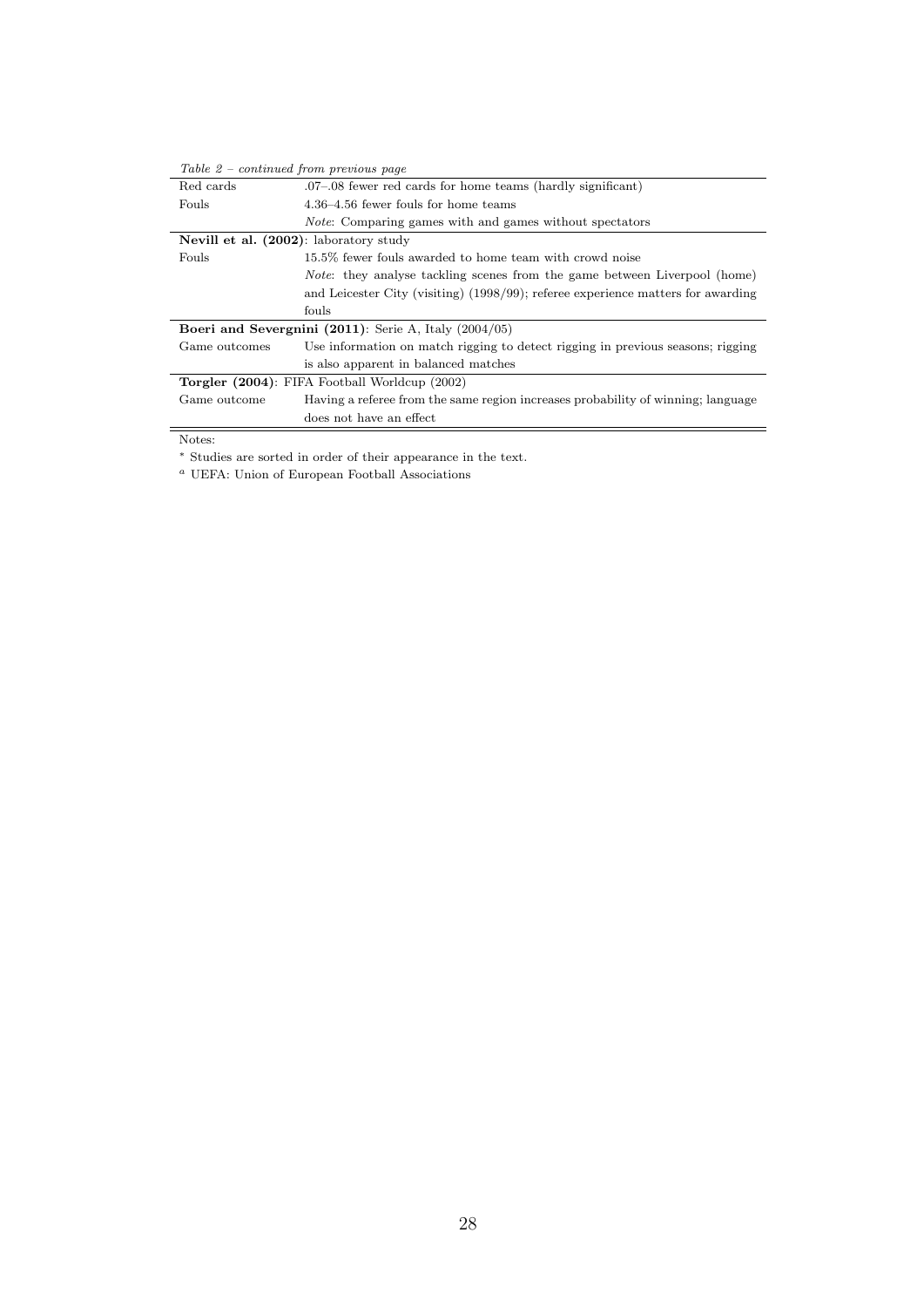| Table $2$ – continued from previous page                   |                                                                                   |  |  |
|------------------------------------------------------------|-----------------------------------------------------------------------------------|--|--|
| Red cards                                                  | 07–08 fewer red cards for home teams (hardly significant).                        |  |  |
| Fouls                                                      | 4.36–4.56 fewer fouls for home teams                                              |  |  |
|                                                            | <i>Note</i> : Comparing games with and games without spectators                   |  |  |
| Nevill et al. (2002): laboratory study                     |                                                                                   |  |  |
| Fouls                                                      | 15.5% fewer fouls awarded to home team with crowd noise                           |  |  |
|                                                            | <i>Note</i> : they analyse tackling scenes from the game between Liverpool (home) |  |  |
|                                                            | and Leicester City (visiting) (1998/99); referee experience matters for awarding  |  |  |
|                                                            | fouls                                                                             |  |  |
| Boeri and Severgnini $(2011)$ : Serie A, Italy $(2004/05)$ |                                                                                   |  |  |
| Game outcomes                                              | Use information on match rigging to detect rigging in previous seasons; rigging   |  |  |
|                                                            | is also apparent in balanced matches                                              |  |  |
| <b>Torgler</b> (2004): FIFA Football Worldcup (2002)       |                                                                                   |  |  |
| Game outcome                                               | Having a referee from the same region increases probability of winning; language  |  |  |
|                                                            | does not have an effect                                                           |  |  |
| T                                                          |                                                                                   |  |  |

Notes:

<sup>∗</sup> Studies are sorted in order of their appearance in the text.

 $\emph{^a}$  UEFA: Union of European Football Associations